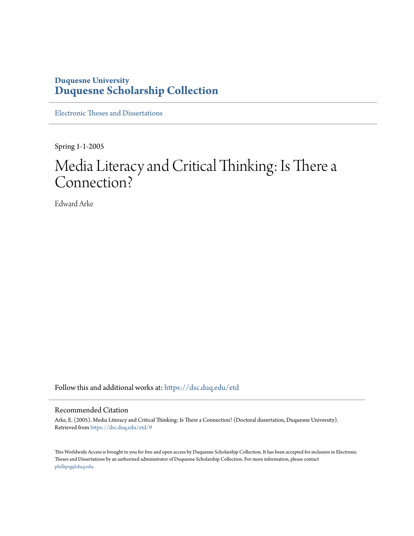# **Duquesne University [Duquesne Scholarship Collection](https://dsc.duq.edu?utm_source=dsc.duq.edu%2Fetd%2F9&utm_medium=PDF&utm_campaign=PDFCoverPages)**

[Electronic Theses and Dissertations](https://dsc.duq.edu/etd?utm_source=dsc.duq.edu%2Fetd%2F9&utm_medium=PDF&utm_campaign=PDFCoverPages)

Spring 1-1-2005

# Media Literacy and Critical Thinking: Is There a Connection?

Edward Arke

Follow this and additional works at: [https://dsc.duq.edu/etd](https://dsc.duq.edu/etd?utm_source=dsc.duq.edu%2Fetd%2F9&utm_medium=PDF&utm_campaign=PDFCoverPages)

#### Recommended Citation

Arke, E. (2005). Media Literacy and Critical Thinking: Is There a Connection? (Doctoral dissertation, Duquesne University). Retrieved from [https://dsc.duq.edu/etd/9](https://dsc.duq.edu/etd/9?utm_source=dsc.duq.edu%2Fetd%2F9&utm_medium=PDF&utm_campaign=PDFCoverPages)

This Worldwide Access is brought to you for free and open access by Duquesne Scholarship Collection. It has been accepted for inclusion in Electronic Theses and Dissertations by an authorized administrator of Duquesne Scholarship Collection. For more information, please contact [phillipsg@duq.edu.](mailto:phillipsg@duq.edu)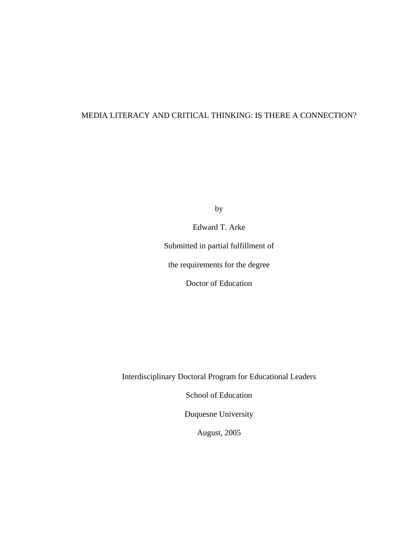## MEDIA LITERACY AND CRITICAL THINKING: IS THERE A CONNECTION?

by

Edward T. Arke

Submitted in partial fulfillment of

the requirements for the degree

Doctor of Education

Interdisciplinary Doctoral Program for Educational Leaders

School of Education

Duquesne University

August, 2005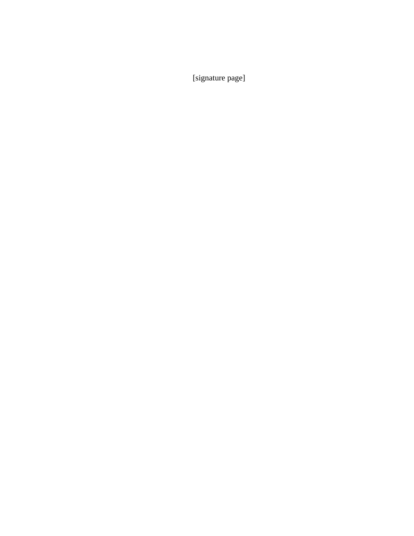[signature page]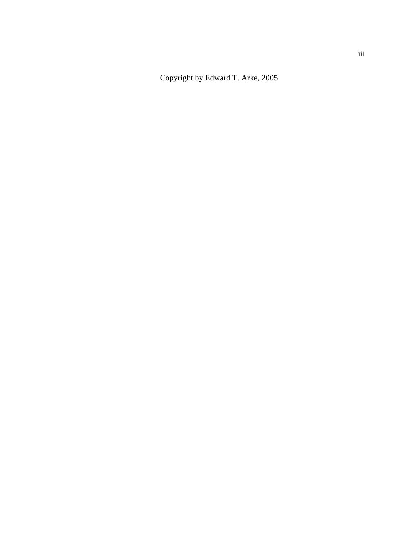Copyright by Edward T. Arke, 2005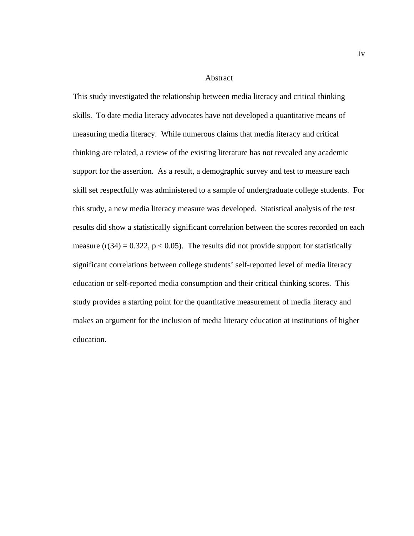#### Abstract

This study investigated the relationship between media literacy and critical thinking skills. To date media literacy advocates have not developed a quantitative means of measuring media literacy. While numerous claims that media literacy and critical thinking are related, a review of the existing literature has not revealed any academic support for the assertion. As a result, a demographic survey and test to measure each skill set respectfully was administered to a sample of undergraduate college students. For this study, a new media literacy measure was developed. Statistical analysis of the test results did show a statistically significant correlation between the scores recorded on each measure  $(r(34) = 0.322, p < 0.05)$ . The results did not provide support for statistically significant correlations between college students' self-reported level of media literacy education or self-reported media consumption and their critical thinking scores. This study provides a starting point for the quantitative measurement of media literacy and makes an argument for the inclusion of media literacy education at institutions of higher education.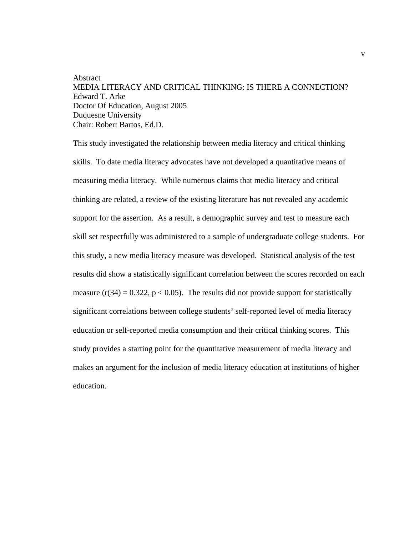## Abstract MEDIA LITERACY AND CRITICAL THINKING: IS THERE A CONNECTION? Edward T. Arke Doctor Of Education, August 2005 Duquesne University Chair: Robert Bartos, Ed.D.

This study investigated the relationship between media literacy and critical thinking skills. To date media literacy advocates have not developed a quantitative means of measuring media literacy. While numerous claims that media literacy and critical thinking are related, a review of the existing literature has not revealed any academic support for the assertion. As a result, a demographic survey and test to measure each skill set respectfully was administered to a sample of undergraduate college students. For this study, a new media literacy measure was developed. Statistical analysis of the test results did show a statistically significant correlation between the scores recorded on each measure  $(r(34) = 0.322, p < 0.05)$ . The results did not provide support for statistically significant correlations between college students' self-reported level of media literacy education or self-reported media consumption and their critical thinking scores. This study provides a starting point for the quantitative measurement of media literacy and makes an argument for the inclusion of media literacy education at institutions of higher education.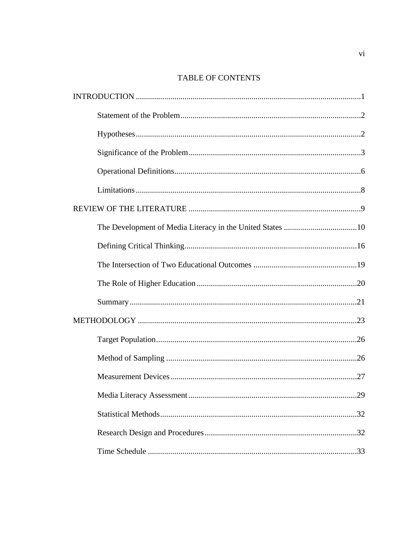# TABLE OF CONTENTS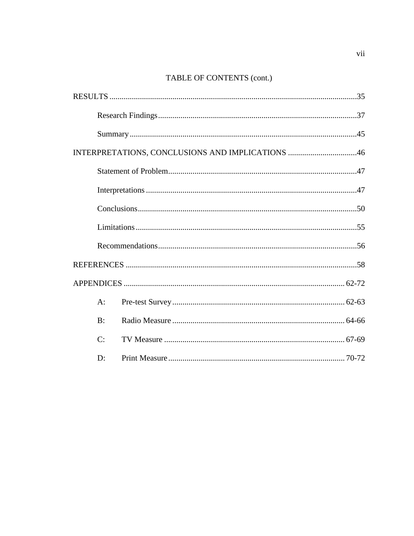# TABLE OF CONTENTS (cont.)

| INTERPRETATIONS, CONCLUSIONS AND IMPLICATIONS 46 |  |  |  |
|--------------------------------------------------|--|--|--|
|                                                  |  |  |  |
|                                                  |  |  |  |
|                                                  |  |  |  |
|                                                  |  |  |  |
|                                                  |  |  |  |
|                                                  |  |  |  |
|                                                  |  |  |  |
| $A$ :                                            |  |  |  |
| B:                                               |  |  |  |
| C:                                               |  |  |  |
| $\mathbf{D}$ :                                   |  |  |  |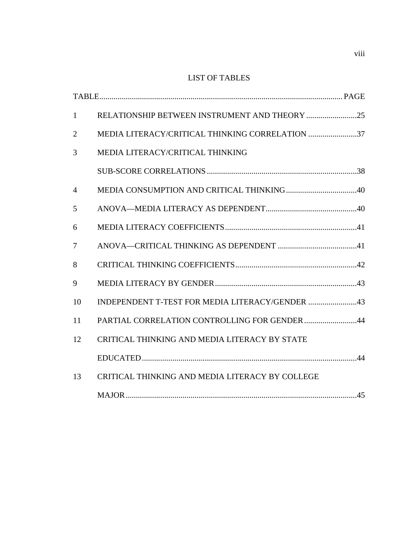## LIST OF TABLES

| $\mathbf{1}$   |                                                 |
|----------------|-------------------------------------------------|
| $\overline{2}$ | MEDIA LITERACY/CRITICAL THINKING CORRELATION 37 |
| 3              | MEDIA LITERACY/CRITICAL THINKING                |
|                |                                                 |
| $\overline{4}$ |                                                 |
| 5              |                                                 |
| 6              |                                                 |
| $\overline{7}$ |                                                 |
| 8              |                                                 |
| 9              |                                                 |
| 10             |                                                 |
| 11             | PARTIAL CORRELATION CONTROLLING FOR GENDER 44   |
| 12             | CRITICAL THINKING AND MEDIA LITERACY BY STATE   |
|                |                                                 |
| 13             | CRITICAL THINKING AND MEDIA LITERACY BY COLLEGE |
|                |                                                 |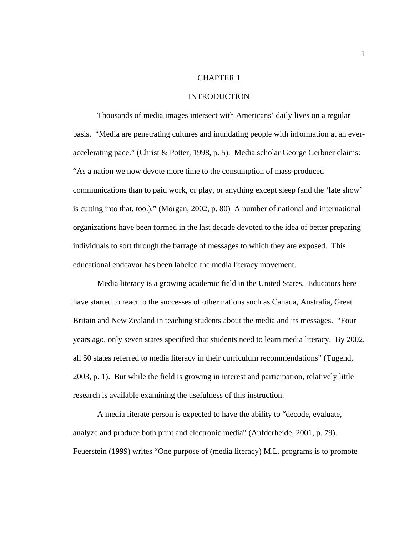### CHAPTER 1

#### INTRODUCTION

 Thousands of media images intersect with Americans' daily lives on a regular basis. "Media are penetrating cultures and inundating people with information at an everaccelerating pace." (Christ & Potter, 1998, p. 5). Media scholar George Gerbner claims: "As a nation we now devote more time to the consumption of mass-produced communications than to paid work, or play, or anything except sleep (and the 'late show' is cutting into that, too.)." (Morgan, 2002, p. 80) A number of national and international organizations have been formed in the last decade devoted to the idea of better preparing individuals to sort through the barrage of messages to which they are exposed. This educational endeavor has been labeled the media literacy movement.

 Media literacy is a growing academic field in the United States. Educators here have started to react to the successes of other nations such as Canada, Australia, Great Britain and New Zealand in teaching students about the media and its messages. "Four years ago, only seven states specified that students need to learn media literacy. By 2002, all 50 states referred to media literacy in their curriculum recommendations" (Tugend, 2003, p. 1). But while the field is growing in interest and participation, relatively little research is available examining the usefulness of this instruction.

 A media literate person is expected to have the ability to "decode, evaluate, analyze and produce both print and electronic media" (Aufderheide, 2001, p. 79). Feuerstein (1999) writes "One purpose of (media literacy) M.L. programs is to promote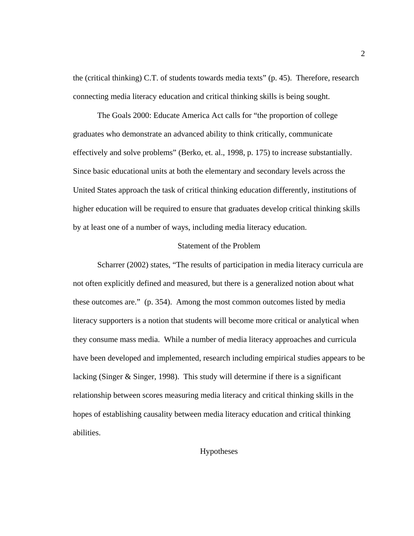the (critical thinking) C.T. of students towards media texts" (p. 45). Therefore, research connecting media literacy education and critical thinking skills is being sought.

 The Goals 2000: Educate America Act calls for "the proportion of college graduates who demonstrate an advanced ability to think critically, communicate effectively and solve problems" (Berko, et. al., 1998, p. 175) to increase substantially. Since basic educational units at both the elementary and secondary levels across the United States approach the task of critical thinking education differently, institutions of higher education will be required to ensure that graduates develop critical thinking skills by at least one of a number of ways, including media literacy education.

## Statement of the Problem

 Scharrer (2002) states, "The results of participation in media literacy curricula are not often explicitly defined and measured, but there is a generalized notion about what these outcomes are." (p. 354). Among the most common outcomes listed by media literacy supporters is a notion that students will become more critical or analytical when they consume mass media. While a number of media literacy approaches and curricula have been developed and implemented, research including empirical studies appears to be lacking (Singer & Singer, 1998). This study will determine if there is a significant relationship between scores measuring media literacy and critical thinking skills in the hopes of establishing causality between media literacy education and critical thinking abilities.

## Hypotheses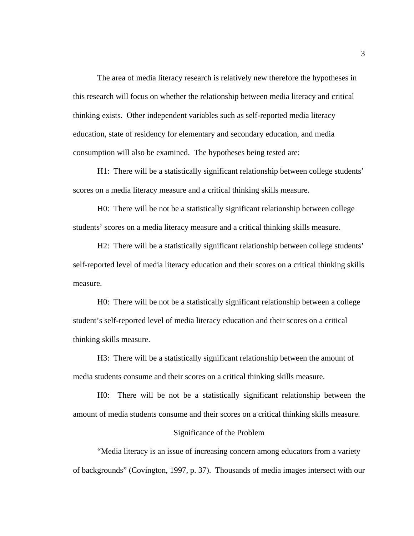The area of media literacy research is relatively new therefore the hypotheses in this research will focus on whether the relationship between media literacy and critical thinking exists. Other independent variables such as self-reported media literacy education, state of residency for elementary and secondary education, and media consumption will also be examined. The hypotheses being tested are:

H1: There will be a statistically significant relationship between college students' scores on a media literacy measure and a critical thinking skills measure.

H0: There will be not be a statistically significant relationship between college students' scores on a media literacy measure and a critical thinking skills measure.

H2: There will be a statistically significant relationship between college students' self-reported level of media literacy education and their scores on a critical thinking skills measure.

H0: There will be not be a statistically significant relationship between a college student's self-reported level of media literacy education and their scores on a critical thinking skills measure.

H3: There will be a statistically significant relationship between the amount of media students consume and their scores on a critical thinking skills measure.

H0: There will be not be a statistically significant relationship between the amount of media students consume and their scores on a critical thinking skills measure.

#### Significance of the Problem

 "Media literacy is an issue of increasing concern among educators from a variety of backgrounds" (Covington, 1997, p. 37). Thousands of media images intersect with our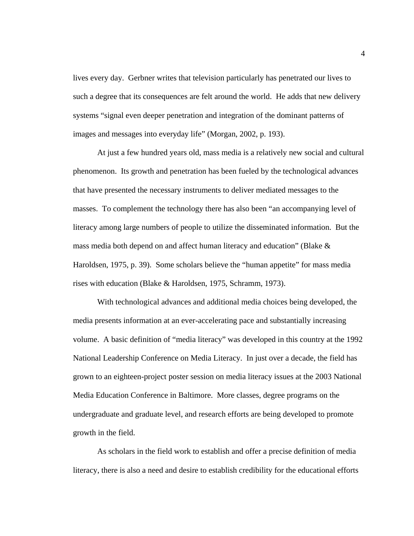lives every day. Gerbner writes that television particularly has penetrated our lives to such a degree that its consequences are felt around the world. He adds that new delivery systems "signal even deeper penetration and integration of the dominant patterns of images and messages into everyday life" (Morgan, 2002, p. 193).

 At just a few hundred years old, mass media is a relatively new social and cultural phenomenon. Its growth and penetration has been fueled by the technological advances that have presented the necessary instruments to deliver mediated messages to the masses. To complement the technology there has also been "an accompanying level of literacy among large numbers of people to utilize the disseminated information. But the mass media both depend on and affect human literacy and education" (Blake & Haroldsen, 1975, p. 39). Some scholars believe the "human appetite" for mass media rises with education (Blake & Haroldsen, 1975, Schramm, 1973).

With technological advances and additional media choices being developed, the media presents information at an ever-accelerating pace and substantially increasing volume. A basic definition of "media literacy" was developed in this country at the 1992 National Leadership Conference on Media Literacy. In just over a decade, the field has grown to an eighteen-project poster session on media literacy issues at the 2003 National Media Education Conference in Baltimore. More classes, degree programs on the undergraduate and graduate level, and research efforts are being developed to promote growth in the field.

 As scholars in the field work to establish and offer a precise definition of media literacy, there is also a need and desire to establish credibility for the educational efforts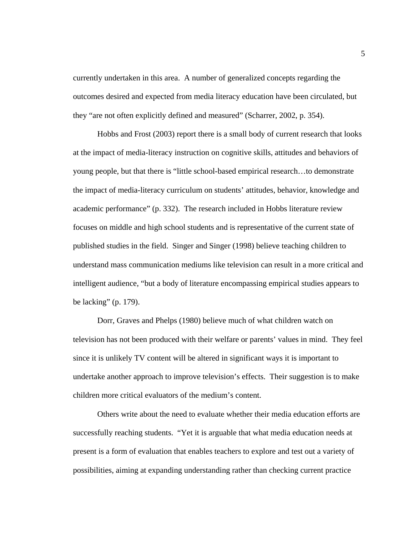currently undertaken in this area. A number of generalized concepts regarding the outcomes desired and expected from media literacy education have been circulated, but they "are not often explicitly defined and measured" (Scharrer, 2002, p. 354).

 Hobbs and Frost (2003) report there is a small body of current research that looks at the impact of media-literacy instruction on cognitive skills, attitudes and behaviors of young people, but that there is "little school-based empirical research…to demonstrate the impact of media-literacy curriculum on students' attitudes, behavior, knowledge and academic performance" (p. 332). The research included in Hobbs literature review focuses on middle and high school students and is representative of the current state of published studies in the field. Singer and Singer (1998) believe teaching children to understand mass communication mediums like television can result in a more critical and intelligent audience, "but a body of literature encompassing empirical studies appears to be lacking" (p. 179).

 Dorr, Graves and Phelps (1980) believe much of what children watch on television has not been produced with their welfare or parents' values in mind. They feel since it is unlikely TV content will be altered in significant ways it is important to undertake another approach to improve television's effects. Their suggestion is to make children more critical evaluators of the medium's content.

 Others write about the need to evaluate whether their media education efforts are successfully reaching students. "Yet it is arguable that what media education needs at present is a form of evaluation that enables teachers to explore and test out a variety of possibilities, aiming at expanding understanding rather than checking current practice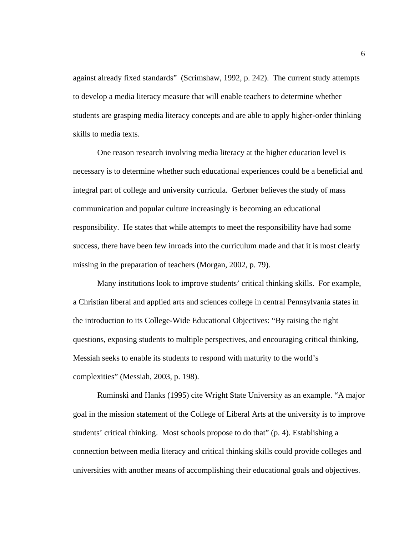against already fixed standards" (Scrimshaw, 1992, p. 242). The current study attempts to develop a media literacy measure that will enable teachers to determine whether students are grasping media literacy concepts and are able to apply higher-order thinking skills to media texts.

 One reason research involving media literacy at the higher education level is necessary is to determine whether such educational experiences could be a beneficial and integral part of college and university curricula. Gerbner believes the study of mass communication and popular culture increasingly is becoming an educational responsibility. He states that while attempts to meet the responsibility have had some success, there have been few inroads into the curriculum made and that it is most clearly missing in the preparation of teachers (Morgan, 2002, p. 79).

Many institutions look to improve students' critical thinking skills. For example, a Christian liberal and applied arts and sciences college in central Pennsylvania states in the introduction to its College-Wide Educational Objectives: "By raising the right questions, exposing students to multiple perspectives, and encouraging critical thinking, Messiah seeks to enable its students to respond with maturity to the world's complexities" (Messiah, 2003, p. 198).

 Ruminski and Hanks (1995) cite Wright State University as an example. "A major goal in the mission statement of the College of Liberal Arts at the university is to improve students' critical thinking. Most schools propose to do that" (p. 4). Establishing a connection between media literacy and critical thinking skills could provide colleges and universities with another means of accomplishing their educational goals and objectives.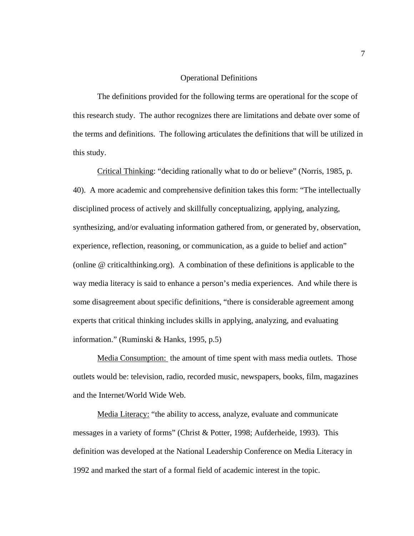#### Operational Definitions

 The definitions provided for the following terms are operational for the scope of this research study. The author recognizes there are limitations and debate over some of the terms and definitions. The following articulates the definitions that will be utilized in this study.

Critical Thinking: "deciding rationally what to do or believe" (Norris, 1985, p. 40). A more academic and comprehensive definition takes this form: "The intellectually disciplined process of actively and skillfully conceptualizing, applying, analyzing, synthesizing, and/or evaluating information gathered from, or generated by, observation, experience, reflection, reasoning, or communication, as a guide to belief and action" (online @ criticalthinking.org). A combination of these definitions is applicable to the way media literacy is said to enhance a person's media experiences. And while there is some disagreement about specific definitions, "there is considerable agreement among experts that critical thinking includes skills in applying, analyzing, and evaluating information." (Ruminski & Hanks, 1995, p.5)

Media Consumption: the amount of time spent with mass media outlets. Those outlets would be: television, radio, recorded music, newspapers, books, film, magazines and the Internet/World Wide Web.

Media Literacy: "the ability to access, analyze, evaluate and communicate messages in a variety of forms" (Christ & Potter, 1998; Aufderheide, 1993). This definition was developed at the National Leadership Conference on Media Literacy in 1992 and marked the start of a formal field of academic interest in the topic.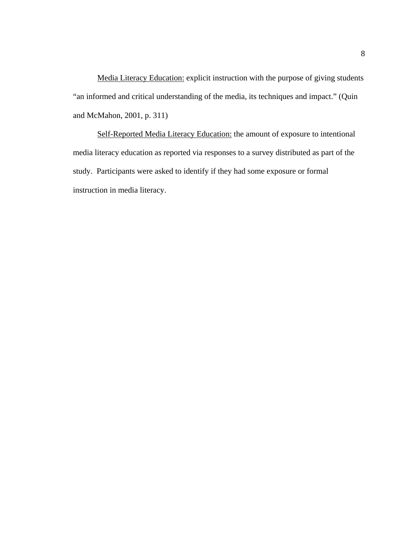Media Literacy Education: explicit instruction with the purpose of giving students "an informed and critical understanding of the media, its techniques and impact." (Quin and McMahon, 2001, p. 311)

Self-Reported Media Literacy Education: the amount of exposure to intentional media literacy education as reported via responses to a survey distributed as part of the study. Participants were asked to identify if they had some exposure or formal instruction in media literacy.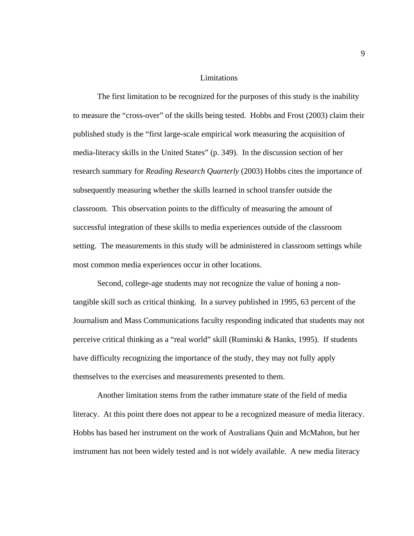#### Limitations

 The first limitation to be recognized for the purposes of this study is the inability to measure the "cross-over" of the skills being tested. Hobbs and Frost (2003) claim their published study is the "first large-scale empirical work measuring the acquisition of media-literacy skills in the United States" (p. 349). In the discussion section of her research summary for *Reading Research Quarterly* (2003) Hobbs cites the importance of subsequently measuring whether the skills learned in school transfer outside the classroom. This observation points to the difficulty of measuring the amount of successful integration of these skills to media experiences outside of the classroom setting. The measurements in this study will be administered in classroom settings while most common media experiences occur in other locations.

 Second, college-age students may not recognize the value of honing a nontangible skill such as critical thinking. In a survey published in 1995, 63 percent of the Journalism and Mass Communications faculty responding indicated that students may not perceive critical thinking as a "real world" skill (Ruminski & Hanks, 1995). If students have difficulty recognizing the importance of the study, they may not fully apply themselves to the exercises and measurements presented to them.

 Another limitation stems from the rather immature state of the field of media literacy. At this point there does not appear to be a recognized measure of media literacy. Hobbs has based her instrument on the work of Australians Quin and McMahon, but her instrument has not been widely tested and is not widely available. A new media literacy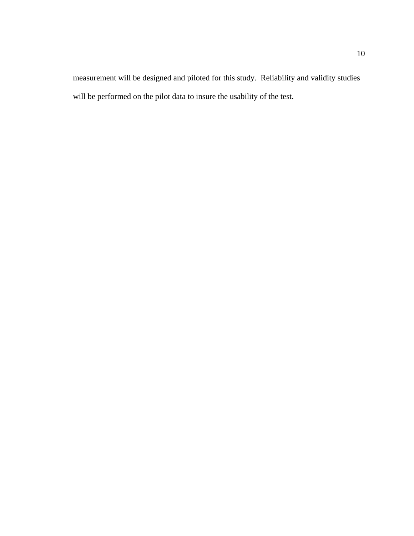measurement will be designed and piloted for this study. Reliability and validity studies will be performed on the pilot data to insure the usability of the test.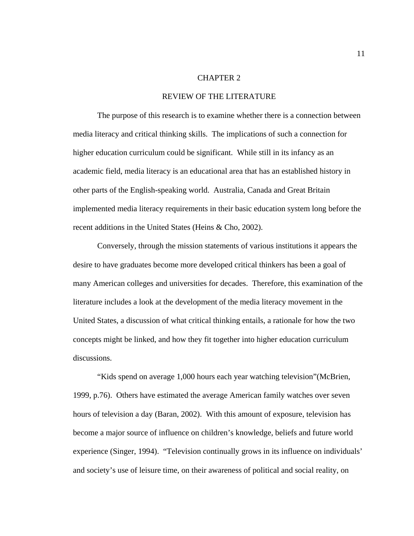#### CHAPTER 2

#### REVIEW OF THE LITERATURE

The purpose of this research is to examine whether there is a connection between media literacy and critical thinking skills. The implications of such a connection for higher education curriculum could be significant. While still in its infancy as an academic field, media literacy is an educational area that has an established history in other parts of the English-speaking world. Australia, Canada and Great Britain implemented media literacy requirements in their basic education system long before the recent additions in the United States (Heins & Cho, 2002).

Conversely, through the mission statements of various institutions it appears the desire to have graduates become more developed critical thinkers has been a goal of many American colleges and universities for decades. Therefore, this examination of the literature includes a look at the development of the media literacy movement in the United States, a discussion of what critical thinking entails, a rationale for how the two concepts might be linked, and how they fit together into higher education curriculum discussions.

"Kids spend on average 1,000 hours each year watching television"(McBrien, 1999, p.76). Others have estimated the average American family watches over seven hours of television a day (Baran, 2002). With this amount of exposure, television has become a major source of influence on children's knowledge, beliefs and future world experience (Singer, 1994). "Television continually grows in its influence on individuals' and society's use of leisure time, on their awareness of political and social reality, on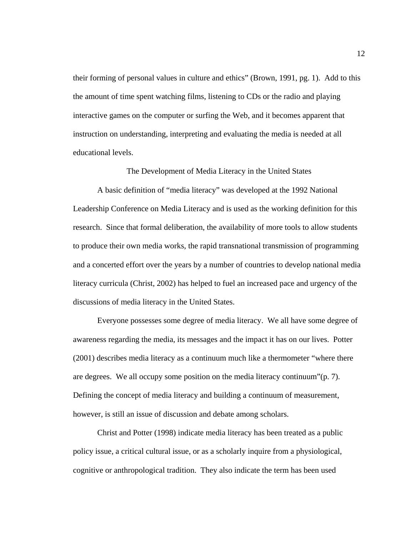their forming of personal values in culture and ethics" (Brown, 1991, pg. 1). Add to this the amount of time spent watching films, listening to CDs or the radio and playing interactive games on the computer or surfing the Web, and it becomes apparent that instruction on understanding, interpreting and evaluating the media is needed at all educational levels.

The Development of Media Literacy in the United States

 A basic definition of "media literacy" was developed at the 1992 National Leadership Conference on Media Literacy and is used as the working definition for this research. Since that formal deliberation, the availability of more tools to allow students to produce their own media works, the rapid transnational transmission of programming and a concerted effort over the years by a number of countries to develop national media literacy curricula (Christ, 2002) has helped to fuel an increased pace and urgency of the discussions of media literacy in the United States.

 Everyone possesses some degree of media literacy. We all have some degree of awareness regarding the media, its messages and the impact it has on our lives. Potter (2001) describes media literacy as a continuum much like a thermometer "where there are degrees. We all occupy some position on the media literacy continuum"(p. 7). Defining the concept of media literacy and building a continuum of measurement, however, is still an issue of discussion and debate among scholars.

 Christ and Potter (1998) indicate media literacy has been treated as a public policy issue, a critical cultural issue, or as a scholarly inquire from a physiological, cognitive or anthropological tradition. They also indicate the term has been used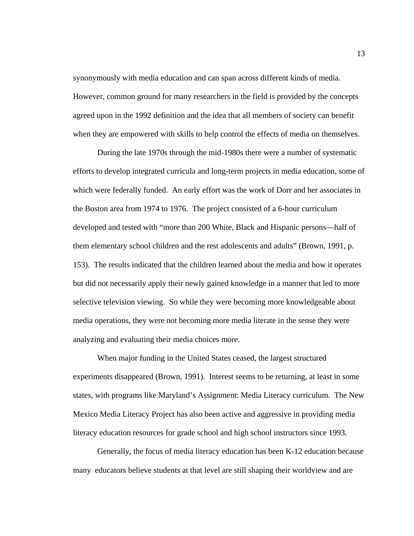synonymously with media education and can span across different kinds of media. However, common ground for many researchers in the field is provided by the concepts agreed upon in the 1992 definition and the idea that all members of society can benefit when they are empowered with skills to help control the effects of media on themselves.

 During the late 1970s through the mid-1980s there were a number of systematic efforts to develop integrated curricula and long-term projects in media education, some of which were federally funded. An early effort was the work of Dorr and her associates in the Boston area from 1974 to 1976. The project consisted of a 6-hour curriculum developed and tested with "more than 200 White, Black and Hispanic persons—half of them elementary school children and the rest adolescents and adults" (Brown, 1991, p. 153). The results indicated that the children learned about the media and how it operates but did not necessarily apply their newly gained knowledge in a manner that led to more selective television viewing. So while they were becoming more knowledgeable about media operations, they were not becoming more media literate in the sense they were analyzing and evaluating their media choices more.

 When major funding in the United States ceased, the largest structured experiments disappeared (Brown, 1991). Interest seems to be returning, at least in some states, with programs like Maryland's Assignment: Media Literacy curriculum. The New Mexico Media Literacy Project has also been active and aggressive in providing media literacy education resources for grade school and high school instructors since 1993.

 Generally, the focus of media literacy education has been K-12 education because many educators believe students at that level are still shaping their worldview and are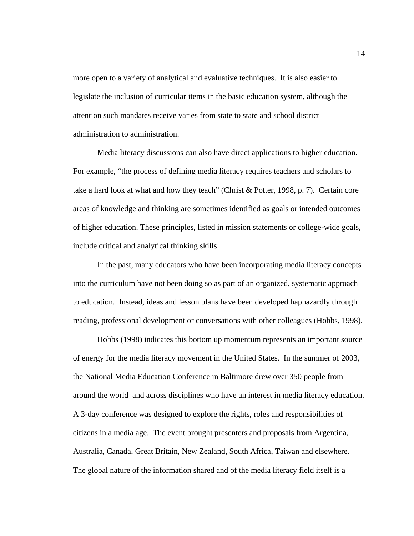more open to a variety of analytical and evaluative techniques. It is also easier to legislate the inclusion of curricular items in the basic education system, although the attention such mandates receive varies from state to state and school district administration to administration.

Media literacy discussions can also have direct applications to higher education. For example, "the process of defining media literacy requires teachers and scholars to take a hard look at what and how they teach" (Christ & Potter, 1998, p. 7). Certain core areas of knowledge and thinking are sometimes identified as goals or intended outcomes of higher education. These principles, listed in mission statements or college-wide goals, include critical and analytical thinking skills.

 In the past, many educators who have been incorporating media literacy concepts into the curriculum have not been doing so as part of an organized, systematic approach to education. Instead, ideas and lesson plans have been developed haphazardly through reading, professional development or conversations with other colleagues (Hobbs, 1998).

 Hobbs (1998) indicates this bottom up momentum represents an important source of energy for the media literacy movement in the United States. In the summer of 2003, the National Media Education Conference in Baltimore drew over 350 people from around the world and across disciplines who have an interest in media literacy education. A 3-day conference was designed to explore the rights, roles and responsibilities of citizens in a media age. The event brought presenters and proposals from Argentina, Australia, Canada, Great Britain, New Zealand, South Africa, Taiwan and elsewhere. The global nature of the information shared and of the media literacy field itself is a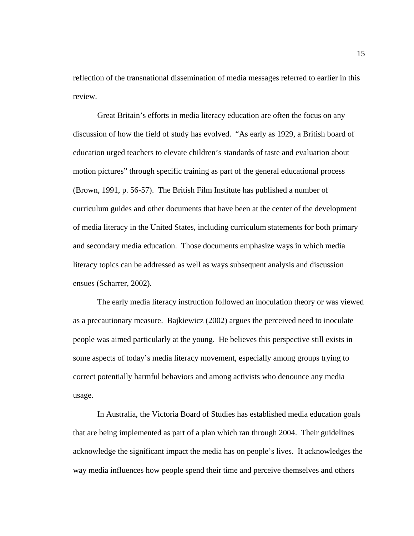reflection of the transnational dissemination of media messages referred to earlier in this review.

 Great Britain's efforts in media literacy education are often the focus on any discussion of how the field of study has evolved. "As early as 1929, a British board of education urged teachers to elevate children's standards of taste and evaluation about motion pictures" through specific training as part of the general educational process (Brown, 1991, p. 56-57). The British Film Institute has published a number of curriculum guides and other documents that have been at the center of the development of media literacy in the United States, including curriculum statements for both primary and secondary media education. Those documents emphasize ways in which media literacy topics can be addressed as well as ways subsequent analysis and discussion ensues (Scharrer, 2002).

 The early media literacy instruction followed an inoculation theory or was viewed as a precautionary measure. Bajkiewicz (2002) argues the perceived need to inoculate people was aimed particularly at the young. He believes this perspective still exists in some aspects of today's media literacy movement, especially among groups trying to correct potentially harmful behaviors and among activists who denounce any media usage.

 In Australia, the Victoria Board of Studies has established media education goals that are being implemented as part of a plan which ran through 2004. Their guidelines acknowledge the significant impact the media has on people's lives. It acknowledges the way media influences how people spend their time and perceive themselves and others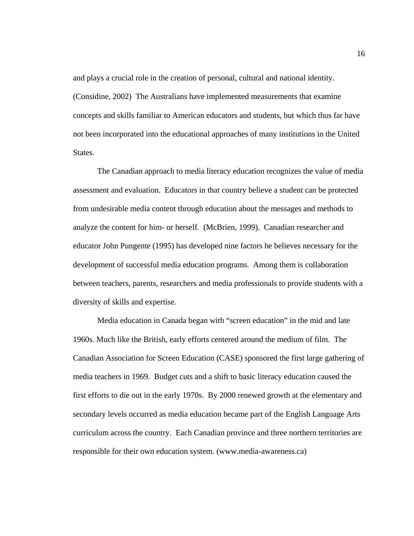and plays a crucial role in the creation of personal, cultural and national identity. (Considine, 2002) The Australians have implemented measurements that examine concepts and skills familiar to American educators and students, but which thus far have not been incorporated into the educational approaches of many institutions in the United States.

 The Canadian approach to media literacy education recognizes the value of media assessment and evaluation. Educators in that country believe a student can be protected from undesirable media content through education about the messages and methods to analyze the content for him- or herself. (McBrien, 1999). Canadian researcher and educator John Pungente (1995) has developed nine factors he believes necessary for the development of successful media education programs. Among them is collaboration between teachers, parents, researchers and media professionals to provide students with a diversity of skills and expertise.

Media education in Canada began with "screen education" in the mid and late 1960s. Much like the British, early efforts centered around the medium of film. The Canadian Association for Screen Education (CASE) sponsored the first large gathering of media teachers in 1969. Budget cuts and a shift to basic literacy education caused the first efforts to die out in the early 1970s. By 2000 renewed growth at the elementary and secondary levels occurred as media education became part of the English Language Arts curriculum across the country. Each Canadian province and three northern territories are responsible for their own education system. (www.media-awareness.ca)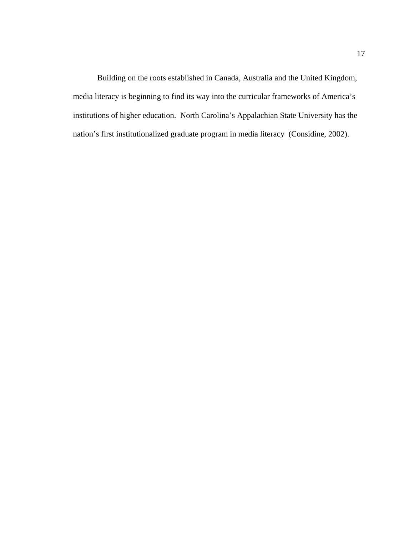Building on the roots established in Canada, Australia and the United Kingdom, media literacy is beginning to find its way into the curricular frameworks of America's institutions of higher education. North Carolina's Appalachian State University has the nation's first institutionalized graduate program in media literacy (Considine, 2002).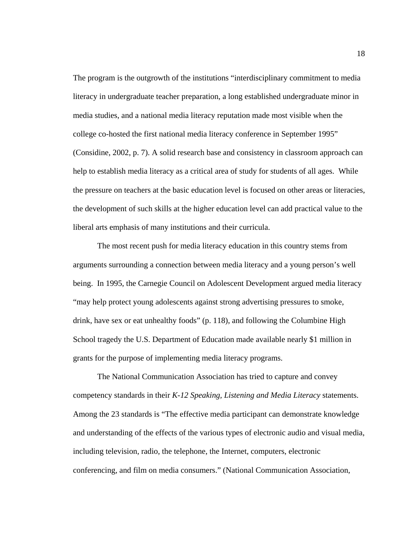The program is the outgrowth of the institutions "interdisciplinary commitment to media literacy in undergraduate teacher preparation, a long established undergraduate minor in media studies, and a national media literacy reputation made most visible when the college co-hosted the first national media literacy conference in September 1995" (Considine, 2002, p. 7). A solid research base and consistency in classroom approach can help to establish media literacy as a critical area of study for students of all ages. While the pressure on teachers at the basic education level is focused on other areas or literacies, the development of such skills at the higher education level can add practical value to the liberal arts emphasis of many institutions and their curricula.

 The most recent push for media literacy education in this country stems from arguments surrounding a connection between media literacy and a young person's well being. In 1995, the Carnegie Council on Adolescent Development argued media literacy "may help protect young adolescents against strong advertising pressures to smoke, drink, have sex or eat unhealthy foods" (p. 118), and following the Columbine High School tragedy the U.S. Department of Education made available nearly \$1 million in grants for the purpose of implementing media literacy programs.

 The National Communication Association has tried to capture and convey competency standards in their *K-12 Speaking, Listening and Media Literacy* statements. Among the 23 standards is "The effective media participant can demonstrate knowledge and understanding of the effects of the various types of electronic audio and visual media, including television, radio, the telephone, the Internet, computers, electronic conferencing, and film on media consumers." (National Communication Association,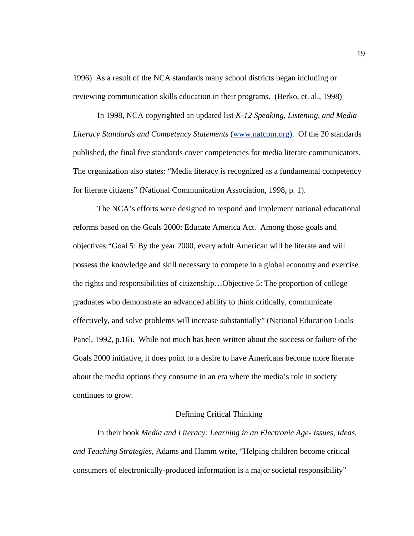1996) As a result of the NCA standards many school districts began including or reviewing communication skills education in their programs. (Berko, et. al., 1998)

 In 1998, NCA copyrighted an updated list *K-12 Speaking, Listening, and Media Literacy Standards and Competency Statements* ([www.natcom.org](http://www.natcom.org/)). Of the 20 standards published, the final five standards cover competencies for media literate communicators. The organization also states: "Media literacy is recognized as a fundamental competency for literate citizens" (National Communication Association, 1998, p. 1).

 The NCA's efforts were designed to respond and implement national educational reforms based on the Goals 2000: Educate America Act. Among those goals and objectives:"Goal 5: By the year 2000, every adult American will be literate and will possess the knowledge and skill necessary to compete in a global economy and exercise the rights and responsibilities of citizenship…Objective 5: The proportion of college graduates who demonstrate an advanced ability to think critically, communicate effectively, and solve problems will increase substantially" (National Education Goals Panel, 1992, p.16). While not much has been written about the success or failure of the Goals 2000 initiative, it does point to a desire to have Americans become more literate about the media options they consume in an era where the media's role in society continues to grow.

#### Defining Critical Thinking

 In their book *Media and Literacy: Learning in an Electronic Age- Issues, Ideas, and Teaching Strategies,* Adams and Hamm write, "Helping children become critical consumers of electronically-produced information is a major societal responsibility"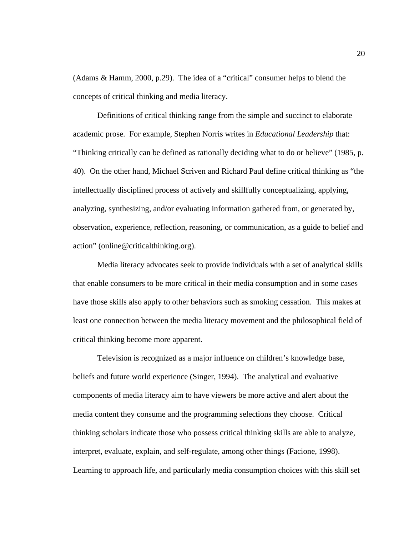(Adams & Hamm, 2000, p.29). The idea of a "critical" consumer helps to blend the concepts of critical thinking and media literacy.

 Definitions of critical thinking range from the simple and succinct to elaborate academic prose. For example, Stephen Norris writes in *Educational Leadership* that: "Thinking critically can be defined as rationally deciding what to do or believe" (1985, p. 40). On the other hand, Michael Scriven and Richard Paul define critical thinking as "the intellectually disciplined process of actively and skillfully conceptualizing, applying, analyzing, synthesizing, and/or evaluating information gathered from, or generated by, observation, experience, reflection, reasoning, or communication, as a guide to belief and action" (online@criticalthinking.org).

Media literacy advocates seek to provide individuals with a set of analytical skills that enable consumers to be more critical in their media consumption and in some cases have those skills also apply to other behaviors such as smoking cessation. This makes at least one connection between the media literacy movement and the philosophical field of critical thinking become more apparent.

 Television is recognized as a major influence on children's knowledge base, beliefs and future world experience (Singer, 1994). The analytical and evaluative components of media literacy aim to have viewers be more active and alert about the media content they consume and the programming selections they choose. Critical thinking scholars indicate those who possess critical thinking skills are able to analyze, interpret, evaluate, explain, and self-regulate, among other things (Facione, 1998). Learning to approach life, and particularly media consumption choices with this skill set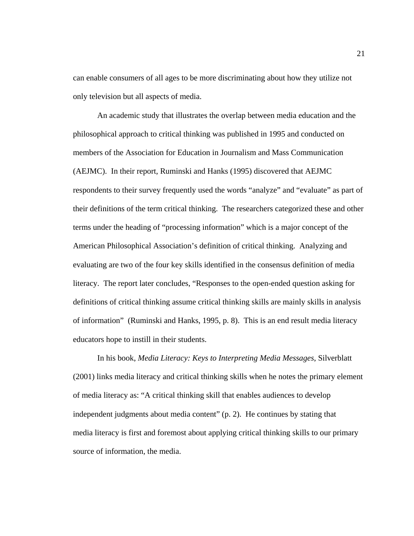can enable consumers of all ages to be more discriminating about how they utilize not only television but all aspects of media.

 An academic study that illustrates the overlap between media education and the philosophical approach to critical thinking was published in 1995 and conducted on members of the Association for Education in Journalism and Mass Communication (AEJMC). In their report, Ruminski and Hanks (1995) discovered that AEJMC respondents to their survey frequently used the words "analyze" and "evaluate" as part of their definitions of the term critical thinking. The researchers categorized these and other terms under the heading of "processing information" which is a major concept of the American Philosophical Association's definition of critical thinking. Analyzing and evaluating are two of the four key skills identified in the consensus definition of media literacy. The report later concludes, "Responses to the open-ended question asking for definitions of critical thinking assume critical thinking skills are mainly skills in analysis of information" (Ruminski and Hanks, 1995, p. 8). This is an end result media literacy educators hope to instill in their students.

 In his book, *Media Literacy: Keys to Interpreting Media Messages*, Silverblatt (2001) links media literacy and critical thinking skills when he notes the primary element of media literacy as: "A critical thinking skill that enables audiences to develop independent judgments about media content" (p. 2). He continues by stating that media literacy is first and foremost about applying critical thinking skills to our primary source of information, the media.

21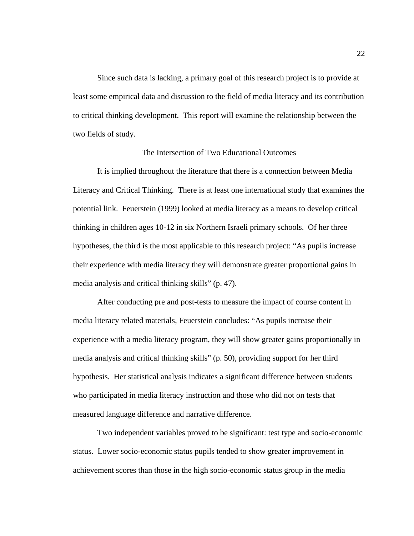Since such data is lacking, a primary goal of this research project is to provide at least some empirical data and discussion to the field of media literacy and its contribution to critical thinking development. This report will examine the relationship between the two fields of study.

## The Intersection of Two Educational Outcomes

 It is implied throughout the literature that there is a connection between Media Literacy and Critical Thinking. There is at least one international study that examines the potential link. Feuerstein (1999) looked at media literacy as a means to develop critical thinking in children ages 10-12 in six Northern Israeli primary schools. Of her three hypotheses, the third is the most applicable to this research project: "As pupils increase their experience with media literacy they will demonstrate greater proportional gains in media analysis and critical thinking skills" (p. 47).

 After conducting pre and post-tests to measure the impact of course content in media literacy related materials, Feuerstein concludes: "As pupils increase their experience with a media literacy program, they will show greater gains proportionally in media analysis and critical thinking skills" (p. 50), providing support for her third hypothesis. Her statistical analysis indicates a significant difference between students who participated in media literacy instruction and those who did not on tests that measured language difference and narrative difference.

Two independent variables proved to be significant: test type and socio-economic status. Lower socio-economic status pupils tended to show greater improvement in achievement scores than those in the high socio-economic status group in the media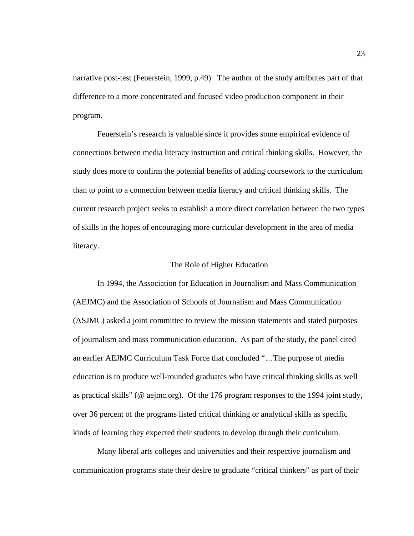narrative post-test (Feuerstein, 1999, p.49). The author of the study attributes part of that difference to a more concentrated and focused video production component in their program.

Feuerstein's research is valuable since it provides some empirical evidence of connections between media literacy instruction and critical thinking skills. However, the study does more to confirm the potential benefits of adding coursework to the curriculum than to point to a connection between media literacy and critical thinking skills. The current research project seeks to establish a more direct correlation between the two types of skills in the hopes of encouraging more curricular development in the area of media literacy.

#### The Role of Higher Education

 In 1994, the Association for Education in Journalism and Mass Communication (AEJMC) and the Association of Schools of Journalism and Mass Communication (ASJMC) asked a joint committee to review the mission statements and stated purposes of journalism and mass communication education. As part of the study, the panel cited an earlier AEJMC Curriculum Task Force that concluded "…The purpose of media education is to produce well-rounded graduates who have critical thinking skills as well as practical skills" (@ aejmc.org). Of the 176 program responses to the 1994 joint study, over 36 percent of the programs listed critical thinking or analytical skills as specific kinds of learning they expected their students to develop through their curriculum.

 Many liberal arts colleges and universities and their respective journalism and communication programs state their desire to graduate "critical thinkers" as part of their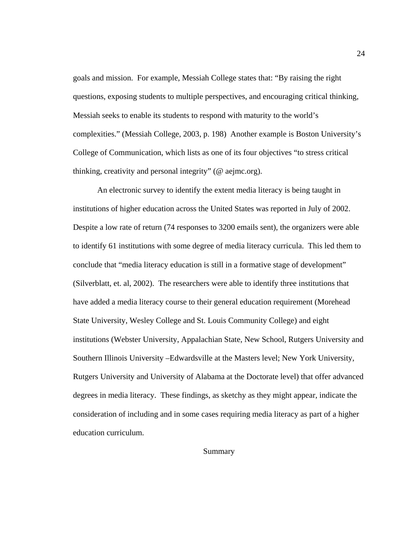goals and mission. For example, Messiah College states that: "By raising the right questions, exposing students to multiple perspectives, and encouraging critical thinking, Messiah seeks to enable its students to respond with maturity to the world's complexities." (Messiah College, 2003, p. 198) Another example is Boston University's College of Communication, which lists as one of its four objectives "to stress critical thinking, creativity and personal integrity" (@ aejmc.org).

 An electronic survey to identify the extent media literacy is being taught in institutions of higher education across the United States was reported in July of 2002. Despite a low rate of return (74 responses to 3200 emails sent), the organizers were able to identify 61 institutions with some degree of media literacy curricula. This led them to conclude that "media literacy education is still in a formative stage of development" (Silverblatt, et. al, 2002). The researchers were able to identify three institutions that have added a media literacy course to their general education requirement (Morehead State University, Wesley College and St. Louis Community College) and eight institutions (Webster University, Appalachian State, New School, Rutgers University and Southern Illinois University –Edwardsville at the Masters level; New York University, Rutgers University and University of Alabama at the Doctorate level) that offer advanced degrees in media literacy. These findings, as sketchy as they might appear, indicate the consideration of including and in some cases requiring media literacy as part of a higher education curriculum.

Summary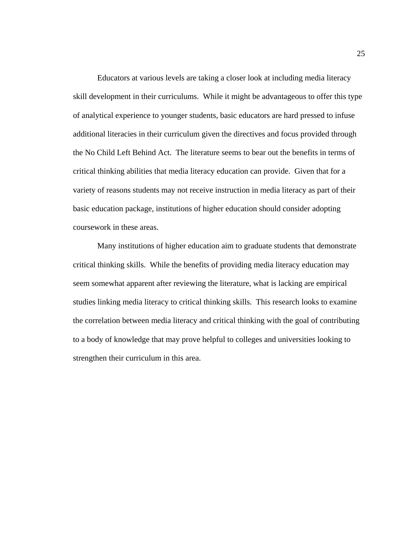Educators at various levels are taking a closer look at including media literacy skill development in their curriculums. While it might be advantageous to offer this type of analytical experience to younger students, basic educators are hard pressed to infuse additional literacies in their curriculum given the directives and focus provided through the No Child Left Behind Act. The literature seems to bear out the benefits in terms of critical thinking abilities that media literacy education can provide. Given that for a variety of reasons students may not receive instruction in media literacy as part of their basic education package, institutions of higher education should consider adopting coursework in these areas.

Many institutions of higher education aim to graduate students that demonstrate critical thinking skills. While the benefits of providing media literacy education may seem somewhat apparent after reviewing the literature, what is lacking are empirical studies linking media literacy to critical thinking skills. This research looks to examine the correlation between media literacy and critical thinking with the goal of contributing to a body of knowledge that may prove helpful to colleges and universities looking to strengthen their curriculum in this area.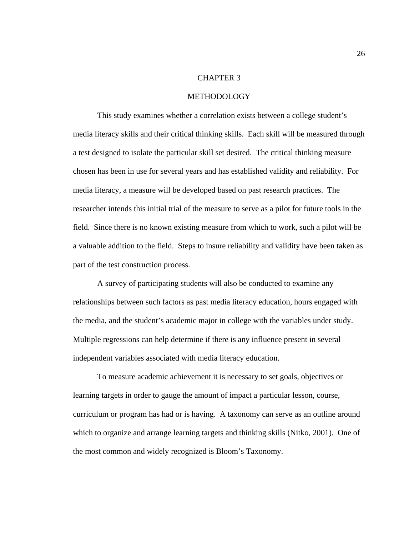#### CHAPTER 3

#### **METHODOLOGY**

 This study examines whether a correlation exists between a college student's media literacy skills and their critical thinking skills. Each skill will be measured through a test designed to isolate the particular skill set desired. The critical thinking measure chosen has been in use for several years and has established validity and reliability. For media literacy, a measure will be developed based on past research practices. The researcher intends this initial trial of the measure to serve as a pilot for future tools in the field. Since there is no known existing measure from which to work, such a pilot will be a valuable addition to the field. Steps to insure reliability and validity have been taken as part of the test construction process.

A survey of participating students will also be conducted to examine any relationships between such factors as past media literacy education, hours engaged with the media, and the student's academic major in college with the variables under study. Multiple regressions can help determine if there is any influence present in several independent variables associated with media literacy education.

 To measure academic achievement it is necessary to set goals, objectives or learning targets in order to gauge the amount of impact a particular lesson, course, curriculum or program has had or is having. A taxonomy can serve as an outline around which to organize and arrange learning targets and thinking skills (Nitko, 2001). One of the most common and widely recognized is Bloom's Taxonomy.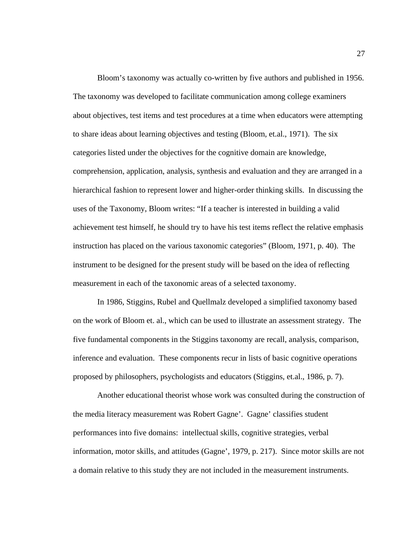Bloom's taxonomy was actually co-written by five authors and published in 1956. The taxonomy was developed to facilitate communication among college examiners about objectives, test items and test procedures at a time when educators were attempting to share ideas about learning objectives and testing (Bloom, et.al., 1971). The six categories listed under the objectives for the cognitive domain are knowledge, comprehension, application, analysis, synthesis and evaluation and they are arranged in a hierarchical fashion to represent lower and higher-order thinking skills. In discussing the uses of the Taxonomy, Bloom writes: "If a teacher is interested in building a valid achievement test himself, he should try to have his test items reflect the relative emphasis instruction has placed on the various taxonomic categories" (Bloom, 1971, p. 40). The instrument to be designed for the present study will be based on the idea of reflecting measurement in each of the taxonomic areas of a selected taxonomy.

 In 1986, Stiggins, Rubel and Quellmalz developed a simplified taxonomy based on the work of Bloom et. al., which can be used to illustrate an assessment strategy. The five fundamental components in the Stiggins taxonomy are recall, analysis, comparison, inference and evaluation. These components recur in lists of basic cognitive operations proposed by philosophers, psychologists and educators (Stiggins, et.al., 1986, p. 7).

 Another educational theorist whose work was consulted during the construction of the media literacy measurement was Robert Gagne'. Gagne' classifies student performances into five domains: intellectual skills, cognitive strategies, verbal information, motor skills, and attitudes (Gagne', 1979, p. 217). Since motor skills are not a domain relative to this study they are not included in the measurement instruments.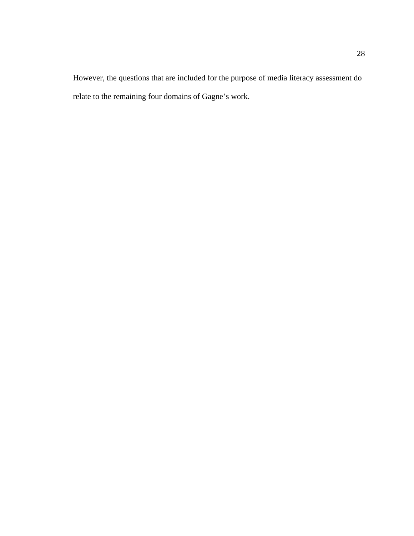However, the questions that are included for the purpose of media literacy assessment do relate to the remaining four domains of Gagne's work.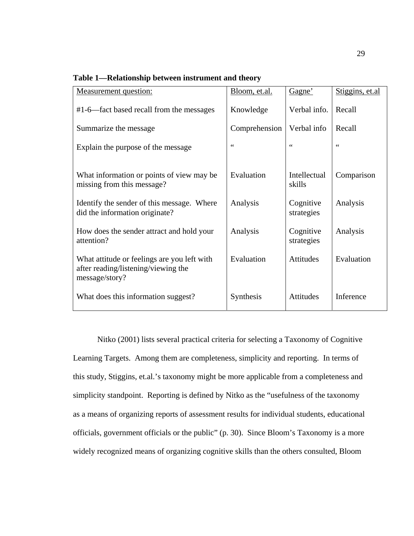| Measurement question:                                                                                | Bloom, et.al.    | Gagne'                  | Stiggins, et.al |
|------------------------------------------------------------------------------------------------------|------------------|-------------------------|-----------------|
| #1-6—fact based recall from the messages                                                             | Knowledge        | Verbal info.            | Recall          |
| Summarize the message                                                                                | Comprehension    | Verbal info             | Recall          |
| Explain the purpose of the message                                                                   | $\zeta$ $\zeta$  | $\zeta$ $\zeta$         | $\zeta$ $\zeta$ |
| What information or points of view may be<br>missing from this message?                              | Evaluation       | Intellectual<br>skills  | Comparison      |
| Identify the sender of this message. Where<br>did the information originate?                         | Analysis         | Cognitive<br>strategies | Analysis        |
| How does the sender attract and hold your<br>attention?                                              | Analysis         | Cognitive<br>strategies | Analysis        |
| What attitude or feelings are you left with<br>after reading/listening/viewing the<br>message/story? | Evaluation       | Attitudes               | Evaluation      |
| What does this information suggest?                                                                  | <b>Synthesis</b> | Attitudes               | Inference       |

**Table 1—Relationship between instrument and theory**

Nitko (2001) lists several practical criteria for selecting a Taxonomy of Cognitive Learning Targets. Among them are completeness, simplicity and reporting. In terms of this study, Stiggins, et.al.'s taxonomy might be more applicable from a completeness and simplicity standpoint. Reporting is defined by Nitko as the "usefulness of the taxonomy as a means of organizing reports of assessment results for individual students, educational officials, government officials or the public" (p. 30). Since Bloom's Taxonomy is a more widely recognized means of organizing cognitive skills than the others consulted, Bloom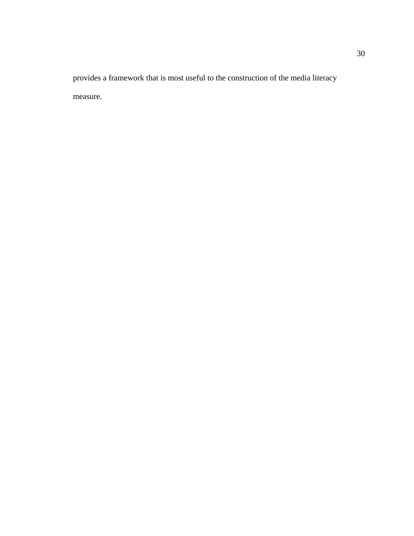provides a framework that is most useful to the construction of the media literacy measure.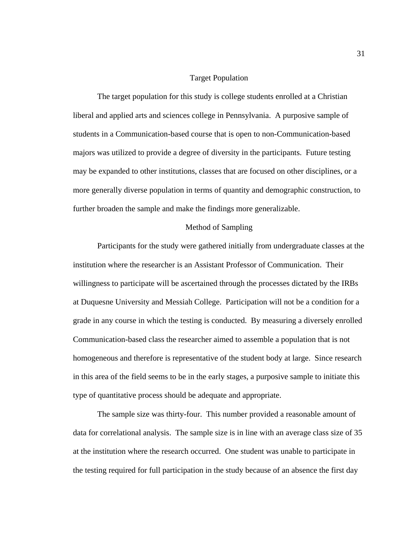### Target Population

 The target population for this study is college students enrolled at a Christian liberal and applied arts and sciences college in Pennsylvania. A purposive sample of students in a Communication-based course that is open to non-Communication-based majors was utilized to provide a degree of diversity in the participants. Future testing may be expanded to other institutions, classes that are focused on other disciplines, or a more generally diverse population in terms of quantity and demographic construction, to further broaden the sample and make the findings more generalizable.

### Method of Sampling

 Participants for the study were gathered initially from undergraduate classes at the institution where the researcher is an Assistant Professor of Communication. Their willingness to participate will be ascertained through the processes dictated by the IRBs at Duquesne University and Messiah College. Participation will not be a condition for a grade in any course in which the testing is conducted. By measuring a diversely enrolled Communication-based class the researcher aimed to assemble a population that is not homogeneous and therefore is representative of the student body at large. Since research in this area of the field seems to be in the early stages, a purposive sample to initiate this type of quantitative process should be adequate and appropriate.

 The sample size was thirty-four. This number provided a reasonable amount of data for correlational analysis. The sample size is in line with an average class size of 35 at the institution where the research occurred. One student was unable to participate in the testing required for full participation in the study because of an absence the first day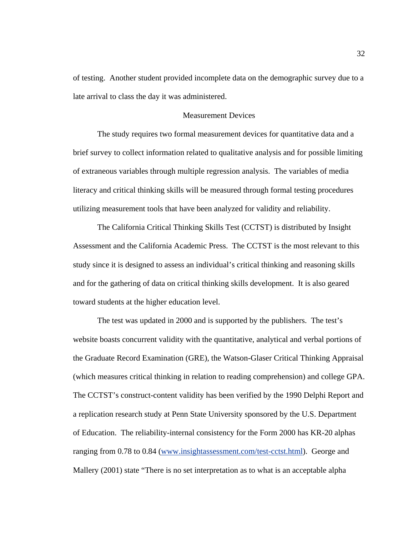of testing. Another student provided incomplete data on the demographic survey due to a late arrival to class the day it was administered.

# Measurement Devices

 The study requires two formal measurement devices for quantitative data and a brief survey to collect information related to qualitative analysis and for possible limiting of extraneous variables through multiple regression analysis. The variables of media literacy and critical thinking skills will be measured through formal testing procedures utilizing measurement tools that have been analyzed for validity and reliability.

 The California Critical Thinking Skills Test (CCTST) is distributed by Insight Assessment and the California Academic Press. The CCTST is the most relevant to this study since it is designed to assess an individual's critical thinking and reasoning skills and for the gathering of data on critical thinking skills development. It is also geared toward students at the higher education level.

 The test was updated in 2000 and is supported by the publishers. The test's website boasts concurrent validity with the quantitative, analytical and verbal portions of the Graduate Record Examination (GRE), the Watson-Glaser Critical Thinking Appraisal (which measures critical thinking in relation to reading comprehension) and college GPA. The CCTST's construct-content validity has been verified by the 1990 Delphi Report and a replication research study at Penn State University sponsored by the U.S. Department of Education. The reliability-internal consistency for the Form 2000 has KR-20 alphas ranging from 0.78 to 0.84 [\(www.insightassessment.com/test-cctst.html\)](http://www.insightassessment.com/test-cctst.html). George and Mallery (2001) state "There is no set interpretation as to what is an acceptable alpha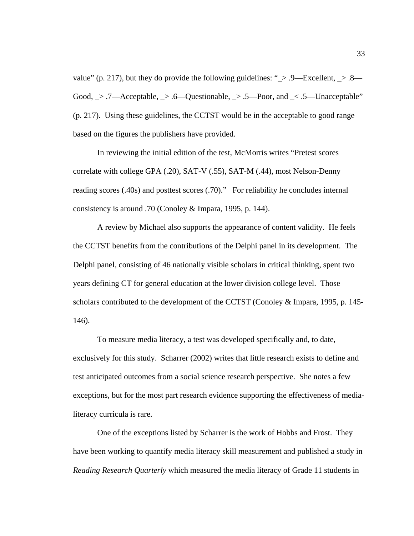value" (p. 217), but they do provide the following guidelines: " $\ge$  .9—Excellent,  $\ge$  .8— Good,  $\geq$  .7—Acceptable,  $\geq$  .6—Questionable,  $\geq$  .5—Poor, and  $\leq$  .5—Unacceptable" (p. 217). Using these guidelines, the CCTST would be in the acceptable to good range based on the figures the publishers have provided.

 In reviewing the initial edition of the test, McMorris writes "Pretest scores correlate with college GPA (.20), SAT-V (.55), SAT-M (.44), most Nelson-Denny reading scores (.40s) and posttest scores (.70)." For reliability he concludes internal consistency is around .70 (Conoley & Impara, 1995, p. 144).

 A review by Michael also supports the appearance of content validity. He feels the CCTST benefits from the contributions of the Delphi panel in its development. The Delphi panel, consisting of 46 nationally visible scholars in critical thinking, spent two years defining CT for general education at the lower division college level. Those scholars contributed to the development of the CCTST (Conoley & Impara, 1995, p. 145- 146).

 To measure media literacy, a test was developed specifically and, to date, exclusively for this study. Scharrer (2002) writes that little research exists to define and test anticipated outcomes from a social science research perspective. She notes a few exceptions, but for the most part research evidence supporting the effectiveness of medialiteracy curricula is rare.

 One of the exceptions listed by Scharrer is the work of Hobbs and Frost. They have been working to quantify media literacy skill measurement and published a study in *Reading Research Quarterly* which measured the media literacy of Grade 11 students in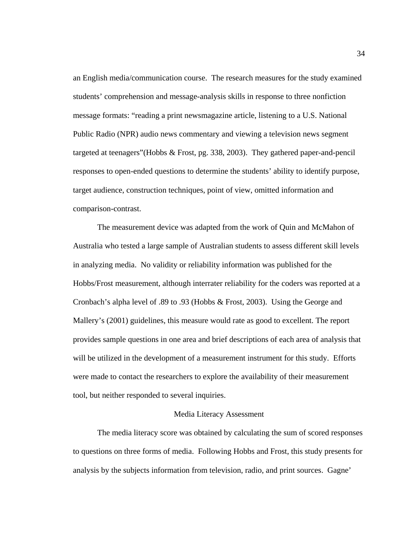an English media/communication course. The research measures for the study examined students' comprehension and message-analysis skills in response to three nonfiction message formats: "reading a print newsmagazine article, listening to a U.S. National Public Radio (NPR) audio news commentary and viewing a television news segment targeted at teenagers"(Hobbs & Frost, pg. 338, 2003). They gathered paper-and-pencil responses to open-ended questions to determine the students' ability to identify purpose, target audience, construction techniques, point of view, omitted information and comparison-contrast.

 The measurement device was adapted from the work of Quin and McMahon of Australia who tested a large sample of Australian students to assess different skill levels in analyzing media. No validity or reliability information was published for the Hobbs/Frost measurement, although interrater reliability for the coders was reported at a Cronbach's alpha level of .89 to .93 (Hobbs & Frost, 2003). Using the George and Mallery's (2001) guidelines, this measure would rate as good to excellent. The report provides sample questions in one area and brief descriptions of each area of analysis that will be utilized in the development of a measurement instrument for this study. Efforts were made to contact the researchers to explore the availability of their measurement tool, but neither responded to several inquiries.

#### Media Literacy Assessment

 The media literacy score was obtained by calculating the sum of scored responses to questions on three forms of media. Following Hobbs and Frost, this study presents for analysis by the subjects information from television, radio, and print sources. Gagne'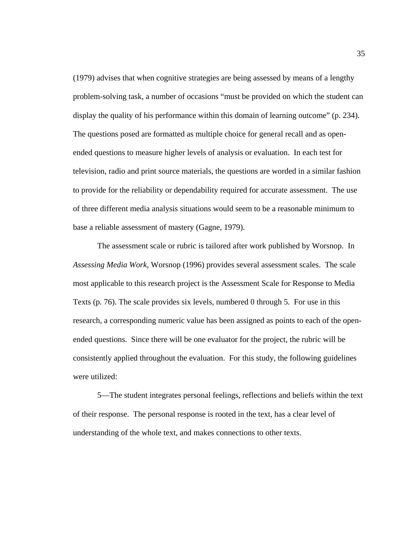(1979) advises that when cognitive strategies are being assessed by means of a lengthy problem-solving task, a number of occasions "must be provided on which the student can display the quality of his performance within this domain of learning outcome" (p. 234). The questions posed are formatted as multiple choice for general recall and as openended questions to measure higher levels of analysis or evaluation. In each test for television, radio and print source materials, the questions are worded in a similar fashion to provide for the reliability or dependability required for accurate assessment. The use of three different media analysis situations would seem to be a reasonable minimum to base a reliable assessment of mastery (Gagne, 1979).

 The assessment scale or rubric is tailored after work published by Worsnop. In *Assessing Media Work,* Worsnop (1996) provides several assessment scales. The scale most applicable to this research project is the Assessment Scale for Response to Media Texts (p. 76). The scale provides six levels, numbered 0 through 5. For use in this research, a corresponding numeric value has been assigned as points to each of the openended questions. Since there will be one evaluator for the project, the rubric will be consistently applied throughout the evaluation. For this study, the following guidelines were utilized:

5—The student integrates personal feelings, reflections and beliefs within the text of their response. The personal response is rooted in the text, has a clear level of understanding of the whole text, and makes connections to other texts.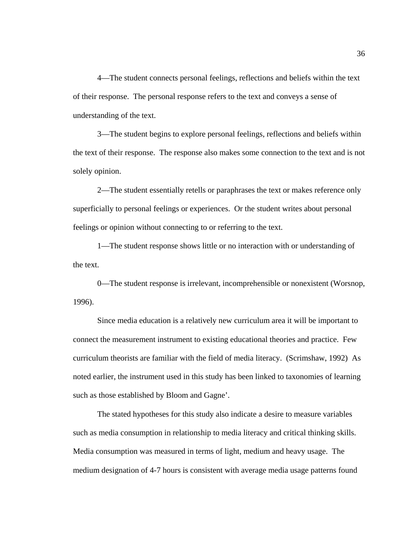4—The student connects personal feelings, reflections and beliefs within the text of their response. The personal response refers to the text and conveys a sense of understanding of the text.

3—The student begins to explore personal feelings, reflections and beliefs within the text of their response. The response also makes some connection to the text and is not solely opinion.

2—The student essentially retells or paraphrases the text or makes reference only superficially to personal feelings or experiences. Or the student writes about personal feelings or opinion without connecting to or referring to the text.

1—The student response shows little or no interaction with or understanding of the text.

0—The student response is irrelevant, incomprehensible or nonexistent (Worsnop, 1996).

Since media education is a relatively new curriculum area it will be important to connect the measurement instrument to existing educational theories and practice. Few curriculum theorists are familiar with the field of media literacy. (Scrimshaw, 1992) As noted earlier, the instrument used in this study has been linked to taxonomies of learning such as those established by Bloom and Gagne'.

The stated hypotheses for this study also indicate a desire to measure variables such as media consumption in relationship to media literacy and critical thinking skills. Media consumption was measured in terms of light, medium and heavy usage. The medium designation of 4-7 hours is consistent with average media usage patterns found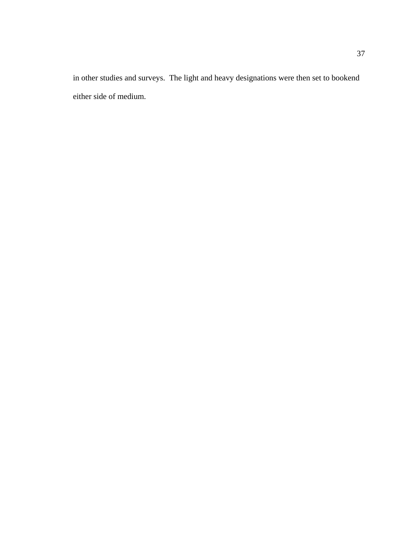in other studies and surveys. The light and heavy designations were then set to bookend either side of medium.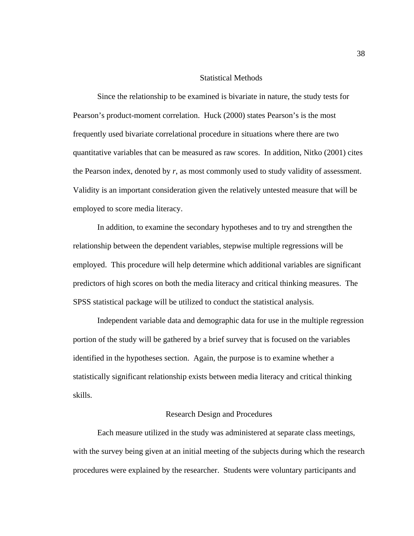## Statistical Methods

 Since the relationship to be examined is bivariate in nature, the study tests for Pearson's product-moment correlation. Huck (2000) states Pearson's is the most frequently used bivariate correlational procedure in situations where there are two quantitative variables that can be measured as raw scores. In addition, Nitko (2001) cites the Pearson index, denoted by *r*, as most commonly used to study validity of assessment. Validity is an important consideration given the relatively untested measure that will be employed to score media literacy.

 In addition, to examine the secondary hypotheses and to try and strengthen the relationship between the dependent variables, stepwise multiple regressions will be employed. This procedure will help determine which additional variables are significant predictors of high scores on both the media literacy and critical thinking measures. The SPSS statistical package will be utilized to conduct the statistical analysis.

 Independent variable data and demographic data for use in the multiple regression portion of the study will be gathered by a brief survey that is focused on the variables identified in the hypotheses section. Again, the purpose is to examine whether a statistically significant relationship exists between media literacy and critical thinking skills.

### Research Design and Procedures

 Each measure utilized in the study was administered at separate class meetings, with the survey being given at an initial meeting of the subjects during which the research procedures were explained by the researcher. Students were voluntary participants and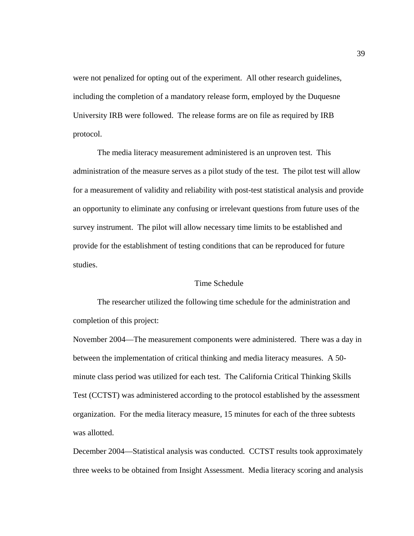were not penalized for opting out of the experiment. All other research guidelines, including the completion of a mandatory release form, employed by the Duquesne University IRB were followed. The release forms are on file as required by IRB protocol.

 The media literacy measurement administered is an unproven test. This administration of the measure serves as a pilot study of the test. The pilot test will allow for a measurement of validity and reliability with post-test statistical analysis and provide an opportunity to eliminate any confusing or irrelevant questions from future uses of the survey instrument. The pilot will allow necessary time limits to be established and provide for the establishment of testing conditions that can be reproduced for future studies.

## Time Schedule

 The researcher utilized the following time schedule for the administration and completion of this project:

November 2004—The measurement components were administered. There was a day in between the implementation of critical thinking and media literacy measures. A 50 minute class period was utilized for each test. The California Critical Thinking Skills Test (CCTST) was administered according to the protocol established by the assessment organization. For the media literacy measure, 15 minutes for each of the three subtests was allotted.

December 2004—Statistical analysis was conducted. CCTST results took approximately three weeks to be obtained from Insight Assessment. Media literacy scoring and analysis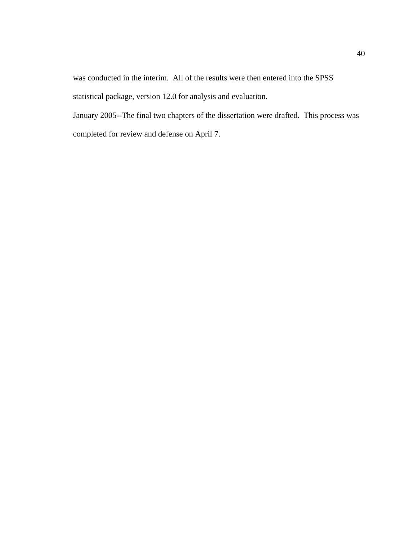was conducted in the interim. All of the results were then entered into the SPSS statistical package, version 12.0 for analysis and evaluation.

January 2005--The final two chapters of the dissertation were drafted. This process was completed for review and defense on April 7.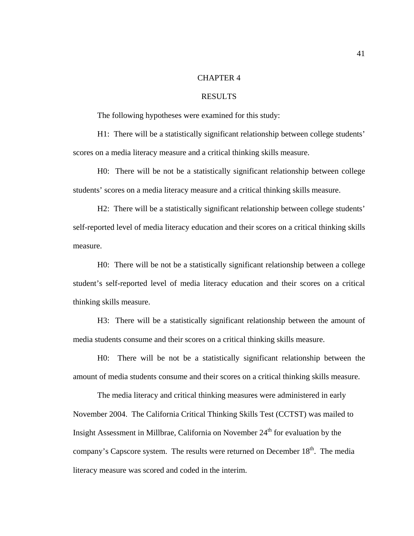# CHAPTER 4

# RESULTS

The following hypotheses were examined for this study:

H1: There will be a statistically significant relationship between college students' scores on a media literacy measure and a critical thinking skills measure.

H0: There will be not be a statistically significant relationship between college students' scores on a media literacy measure and a critical thinking skills measure.

H2: There will be a statistically significant relationship between college students' self-reported level of media literacy education and their scores on a critical thinking skills measure.

H0: There will be not be a statistically significant relationship between a college student's self-reported level of media literacy education and their scores on a critical thinking skills measure.

H3: There will be a statistically significant relationship between the amount of media students consume and their scores on a critical thinking skills measure.

H0: There will be not be a statistically significant relationship between the amount of media students consume and their scores on a critical thinking skills measure.

 The media literacy and critical thinking measures were administered in early November 2004. The California Critical Thinking Skills Test (CCTST) was mailed to Insight Assessment in Millbrae, California on November  $24<sup>th</sup>$  for evaluation by the company's Capscore system. The results were returned on December  $18<sup>th</sup>$ . The media literacy measure was scored and coded in the interim.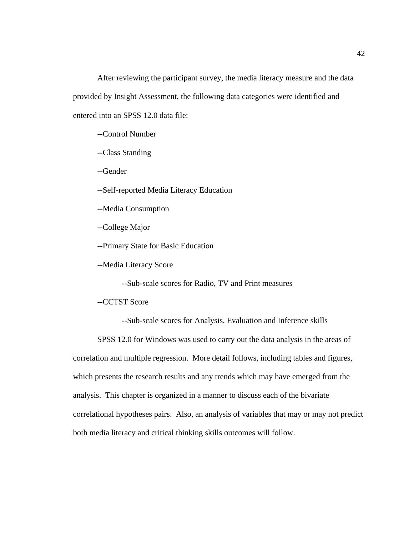After reviewing the participant survey, the media literacy measure and the data provided by Insight Assessment, the following data categories were identified and entered into an SPSS 12.0 data file:

--Control Number

--Class Standing

--Gender

--Self-reported Media Literacy Education

--Media Consumption

--College Major

--Primary State for Basic Education

--Media Literacy Score

--Sub-scale scores for Radio, TV and Print measures

--CCTST Score

--Sub-scale scores for Analysis, Evaluation and Inference skills

SPSS 12.0 for Windows was used to carry out the data analysis in the areas of correlation and multiple regression. More detail follows, including tables and figures, which presents the research results and any trends which may have emerged from the analysis. This chapter is organized in a manner to discuss each of the bivariate correlational hypotheses pairs. Also, an analysis of variables that may or may not predict both media literacy and critical thinking skills outcomes will follow.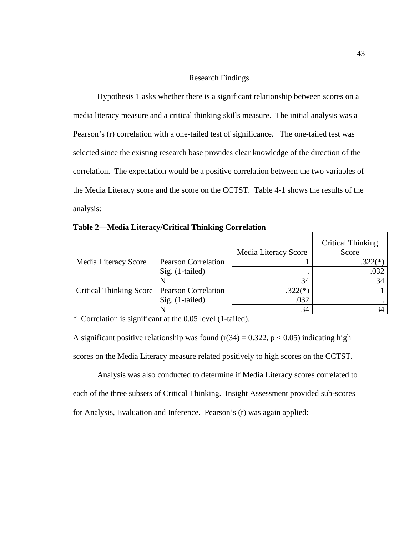### Research Findings

 Hypothesis 1 asks whether there is a significant relationship between scores on a media literacy measure and a critical thinking skills measure. The initial analysis was a Pearson's (r) correlation with a one-tailed test of significance. The one-tailed test was selected since the existing research base provides clear knowledge of the direction of the correlation. The expectation would be a positive correlation between the two variables of the Media Literacy score and the score on the CCTST. Table 4-1 shows the results of the analysis:

|                                             |                            |                      | <b>Critical Thinking</b><br>Score |
|---------------------------------------------|----------------------------|----------------------|-----------------------------------|
|                                             |                            | Media Literacy Score |                                   |
| Media Literacy Score                        | <b>Pearson Correlation</b> |                      | $.322(*)$                         |
|                                             | $Sig.$ (1-tailed)          |                      | .032                              |
|                                             |                            | 34                   | 34                                |
| Critical Thinking Score Pearson Correlation |                            | $.322(*)$            |                                   |
|                                             | $Sig.$ (1-tailed)          | .032                 |                                   |
|                                             |                            | 34                   | 34                                |

**Table 2—Media Literacy/Critical Thinking Correlation** 

\* Correlation is significant at the 0.05 level (1-tailed).

A significant positive relationship was found ( $r(34) = 0.322$ ,  $p < 0.05$ ) indicating high scores on the Media Literacy measure related positively to high scores on the CCTST.

 Analysis was also conducted to determine if Media Literacy scores correlated to each of the three subsets of Critical Thinking. Insight Assessment provided sub-scores for Analysis, Evaluation and Inference. Pearson's (r) was again applied: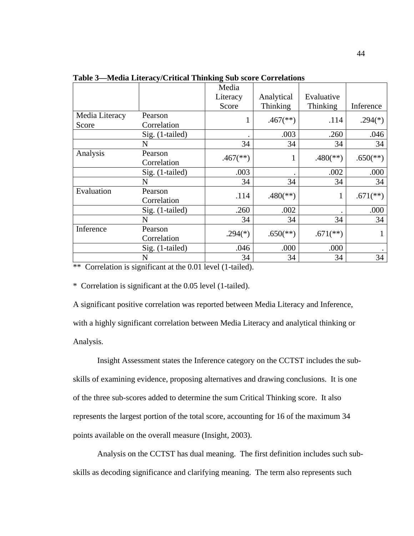|                |                 | Media                    |                          |                          |                          |
|----------------|-----------------|--------------------------|--------------------------|--------------------------|--------------------------|
|                |                 | Literacy                 | Analytical               | Evaluative               |                          |
|                |                 | Score                    | Thinking                 | Thinking                 | Inference                |
| Media Literacy | Pearson         |                          | $.467$ <sup>(**)</sup> ) | .114                     | $.294(*)$                |
| Score          | Correlation     | 1                        |                          |                          |                          |
|                | Sig. (1-tailed) |                          | .003                     | .260                     | .046                     |
|                | N               | 34                       | 34                       | 34                       | 34                       |
| Analysis       | Pearson         |                          |                          |                          |                          |
|                | Correlation     | $.467$ <sup>(**)</sup> ) |                          | $.480$ <sup>(**)</sup> ) | $.650$ <sup>(**)</sup> ) |
|                | Sig. (1-tailed) | .003                     |                          | .002                     | .000                     |
|                | N               | 34                       | 34                       | 34                       | 34                       |
| Evaluation     | Pearson         | .114                     | $.480$ <sup>(**)</sup> ) | 1                        |                          |
|                | Correlation     |                          |                          |                          | $.671$ <sup>(**)</sup> ) |
|                | Sig. (1-tailed) | .260                     | .002                     |                          | .000                     |
|                | N               | 34                       | 34                       | 34                       | 34                       |
| Inference      | Pearson         |                          |                          |                          |                          |
|                | Correlation     | $.294(*)$                | $.650$ <sup>(**)</sup> ) | $.671$ <sup>(**)</sup> ) | 1                        |
|                | Sig. (1-tailed) | .046                     | .000                     | .000                     |                          |
|                | N               | 34                       | 34                       | 34                       | 34                       |

**Table 3—Media Literacy/Critical Thinking Sub score Correlations** 

\*\* Correlation is significant at the 0.01 level (1-tailed).

\* Correlation is significant at the 0.05 level (1-tailed).

A significant positive correlation was reported between Media Literacy and Inference, with a highly significant correlation between Media Literacy and analytical thinking or Analysis.

 Insight Assessment states the Inference category on the CCTST includes the subskills of examining evidence, proposing alternatives and drawing conclusions. It is one of the three sub-scores added to determine the sum Critical Thinking score. It also represents the largest portion of the total score, accounting for 16 of the maximum 34 points available on the overall measure (Insight, 2003).

Analysis on the CCTST has dual meaning. The first definition includes such subskills as decoding significance and clarifying meaning. The term also represents such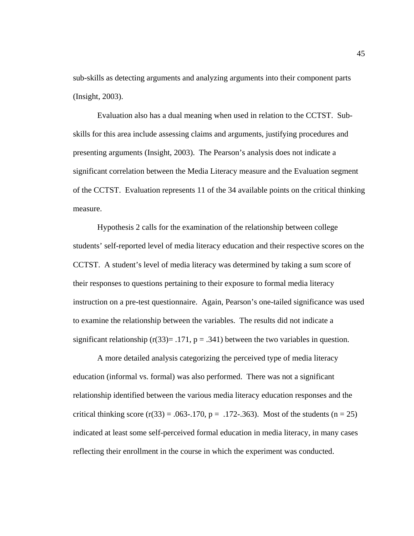sub-skills as detecting arguments and analyzing arguments into their component parts (Insight, 2003).

Evaluation also has a dual meaning when used in relation to the CCTST. Subskills for this area include assessing claims and arguments, justifying procedures and presenting arguments (Insight, 2003). The Pearson's analysis does not indicate a significant correlation between the Media Literacy measure and the Evaluation segment of the CCTST. Evaluation represents 11 of the 34 available points on the critical thinking measure.

 Hypothesis 2 calls for the examination of the relationship between college students' self-reported level of media literacy education and their respective scores on the CCTST. A student's level of media literacy was determined by taking a sum score of their responses to questions pertaining to their exposure to formal media literacy instruction on a pre-test questionnaire. Again, Pearson's one-tailed significance was used to examine the relationship between the variables. The results did not indicate a significant relationship ( $r(33) = .171$ ,  $p = .341$ ) between the two variables in question.

 A more detailed analysis categorizing the perceived type of media literacy education (informal vs. formal) was also performed. There was not a significant relationship identified between the various media literacy education responses and the critical thinking score  $(r(33) = .063 - .170, p = .172 - .363)$ . Most of the students  $(n = 25)$ indicated at least some self-perceived formal education in media literacy, in many cases reflecting their enrollment in the course in which the experiment was conducted.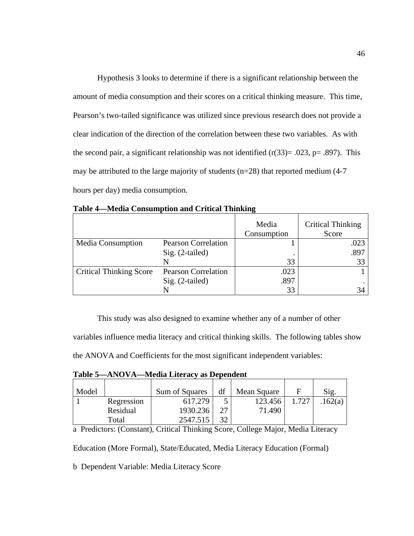Hypothesis 3 looks to determine if there is a significant relationship between the amount of media consumption and their scores on a critical thinking measure. This time, Pearson's two-tailed significance was utilized since previous research does not provide a clear indication of the direction of the correlation between these two variables. As with the second pair, a significant relationship was not identified  $(r(33)=.023, p=.897)$ . This may be attributed to the large majority of students ( $n=28$ ) that reported medium (4-7) hours per day) media consumption.

|                                |                            | Media<br>Consumption | <b>Critical Thinking</b><br>Score |
|--------------------------------|----------------------------|----------------------|-----------------------------------|
| <b>Media Consumption</b>       | <b>Pearson Correlation</b> |                      | .023                              |
|                                | $Sig. (2-tailed)$          |                      | .897                              |
|                                |                            | 33                   | 33                                |
| <b>Critical Thinking Score</b> | <b>Pearson Correlation</b> | .023                 |                                   |
|                                | $Sig. (2-tailed)$          | .897                 |                                   |
|                                |                            | 33                   |                                   |

**Table 4—Media Consumption and Critical Thinking** 

 This study was also designed to examine whether any of a number of other variables influence media literacy and critical thinking skills. The following tables show the ANOVA and Coefficients for the most significant independent variables:

| ravic J<br>$\alpha$ ) $\alpha$ ) $\alpha$ ) is the conditional dependence of $\alpha$ |            |                |    |             |       |         |  |  |  |
|---------------------------------------------------------------------------------------|------------|----------------|----|-------------|-------|---------|--|--|--|
| Model                                                                                 |            | Sum of Squares | df | Mean Square | E     | Sig.    |  |  |  |
|                                                                                       |            |                |    |             | 1.727 |         |  |  |  |
|                                                                                       | Regression | 617.279        |    | 123.456     |       | .162(a) |  |  |  |
|                                                                                       | Residual   | 1930.236       |    | 71.490      |       |         |  |  |  |
|                                                                                       | Total      | 2547.515       |    |             |       |         |  |  |  |

**Table 5—ANOVA—Media Literacy as Dependent** 

a Predictors: (Constant), Critical Thinking Score, College Major, Media Literacy

Education (More Formal), State/Educated, Media Literacy Education (Formal)

b Dependent Variable: Media Literacy Score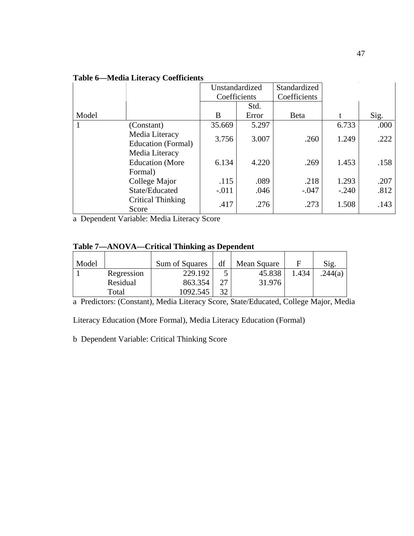| <b>Table 6—Media Literacy Coefficients</b> |
|--------------------------------------------|
|--------------------------------------------|

|       |                        | Unstandardized |       | Standardized |         |      |
|-------|------------------------|----------------|-------|--------------|---------|------|
|       |                        | Coefficients   |       | Coefficients |         |      |
|       |                        |                | Std.  |              |         |      |
| Model |                        | B              | Error | <b>B</b> eta | t       | Sig. |
|       | (Constant)             | 35.669         | 5.297 |              | 6.733   | .000 |
|       | Media Literacy         | 3.756          | 3.007 | .260         | 1.249   | .222 |
|       | Education (Formal)     |                |       |              |         |      |
|       | Media Literacy         |                |       |              |         |      |
|       | <b>Education</b> (More | 6.134          | 4.220 | .269         | 1.453   | .158 |
|       | Formal)                |                |       |              |         |      |
|       | College Major          | .115           | .089  | .218         | 1.293   | .207 |
|       | State/Educated         | $-.011$        | .046  | $-.047$      | $-.240$ | .812 |
|       | Critical Thinking      | .417           | .276  | .273         | 1.508   | .143 |
|       | Score                  |                |       |              |         |      |

a Dependent Variable: Media Literacy Score

# **Table 7—ANOVA—Critical Thinking as Dependent**

| Model |            | Sum of Squares | df | Mean Square |       | Sig.    |
|-------|------------|----------------|----|-------------|-------|---------|
|       | Regression | 229.192        |    | 45.838      | 1.434 | .244(a) |
|       | Residual   | 863.354        |    | 31.976      |       |         |
|       | Total      | 1092.545       | 30 |             |       |         |

a Predictors: (Constant), Media Literacy Score, State/Educated, College Major, Media

Literacy Education (More Formal), Media Literacy Education (Formal)

b Dependent Variable: Critical Thinking Score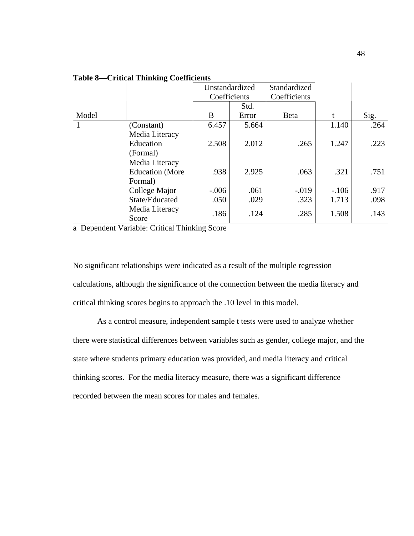|       |                         | Unstandardized |       | Standardized |         |      |
|-------|-------------------------|----------------|-------|--------------|---------|------|
|       |                         | Coefficients   |       | Coefficients |         |      |
|       |                         |                | Std.  |              |         |      |
| Model |                         | B              | Error | <b>B</b> eta |         | Sig. |
|       | (Constant)              | 6.457          | 5.664 |              | 1.140   | .264 |
|       | Media Literacy          |                |       |              |         |      |
|       | Education               | 2.508          | 2.012 | .265         | 1.247   | .223 |
|       | (Formal)                |                |       |              |         |      |
|       | Media Literacy          |                |       |              |         |      |
|       | <b>Education</b> (More  | .938           | 2.925 | .063         | .321    | .751 |
|       | Formal)                 |                |       |              |         |      |
|       | College Major           | $-.006$        | .061  | $-.019$      | $-.106$ | .917 |
|       | State/Educated          | .050           | .029  | .323         | 1.713   | .098 |
|       | Media Literacy<br>Score | .186           | .124  | .285         | 1.508   | .143 |

**Table 8—Critical Thinking Coefficients** 

a Dependent Variable: Critical Thinking Score

No significant relationships were indicated as a result of the multiple regression calculations, although the significance of the connection between the media literacy and critical thinking scores begins to approach the .10 level in this model.

 As a control measure, independent sample t tests were used to analyze whether there were statistical differences between variables such as gender, college major, and the state where students primary education was provided, and media literacy and critical thinking scores. For the media literacy measure, there was a significant difference recorded between the mean scores for males and females.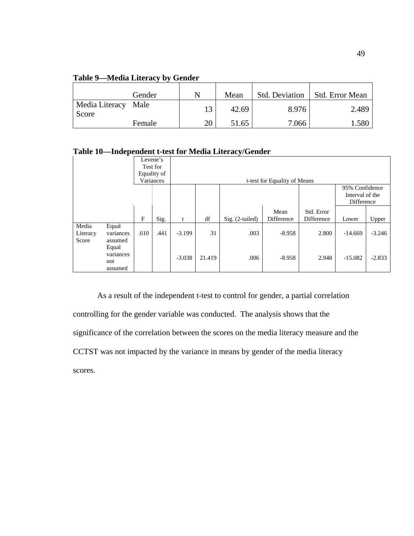| Table 9—Media Literacy by Gender |  |
|----------------------------------|--|
|----------------------------------|--|

|                              | Gender |    | Mean  | <b>Std. Deviation</b> | Std. Error Mean |
|------------------------------|--------|----|-------|-----------------------|-----------------|
| Media Literacy Male<br>Score |        | 13 | 42.69 | 8.976                 | 2.489           |
|                              | Female | 20 | 51.65 | 7.066                 | 1.580           |

**Table 10—Independent t-test for Media Literacy/Gender** 

|          |           |              | Levene's    |          |        |                 |                              |            |                 |          |
|----------|-----------|--------------|-------------|----------|--------|-----------------|------------------------------|------------|-----------------|----------|
|          |           |              | Test for    |          |        |                 |                              |            |                 |          |
|          |           |              | Equality of |          |        |                 |                              |            |                 |          |
|          |           |              | Variances   |          |        |                 | t-test for Equality of Means |            |                 |          |
|          |           |              |             |          |        |                 |                              |            | 95% Confidence  |          |
|          |           |              |             |          |        |                 |                              |            | Interval of the |          |
|          |           |              |             |          |        |                 |                              |            | Difference      |          |
|          |           |              |             |          |        |                 | Mean                         | Std. Error |                 |          |
|          |           | $\mathbf{F}$ | Sig.        | t        | df     | Sig. (2-tailed) | Difference                   | Difference | Lower           | Upper    |
| Media    | Equal     |              |             |          |        |                 |                              |            |                 |          |
| Literacy | variances | .610         | .441        | $-3.199$ | 31     | .003            | $-8.958$                     | 2.800      | $-14.669$       | $-3.246$ |
| Score    | assumed   |              |             |          |        |                 |                              |            |                 |          |
|          | Equal     |              |             |          |        |                 |                              |            |                 |          |
|          | variances |              |             | $-3.038$ | 21.419 | .006            | $-8.958$                     | 2.948      | $-15.082$       | $-2.833$ |
|          | not       |              |             |          |        |                 |                              |            |                 |          |
|          | assumed   |              |             |          |        |                 |                              |            |                 |          |

 As a result of the independent t-test to control for gender, a partial correlation controlling for the gender variable was conducted. The analysis shows that the significance of the correlation between the scores on the media literacy measure and the CCTST was not impacted by the variance in means by gender of the media literacy scores.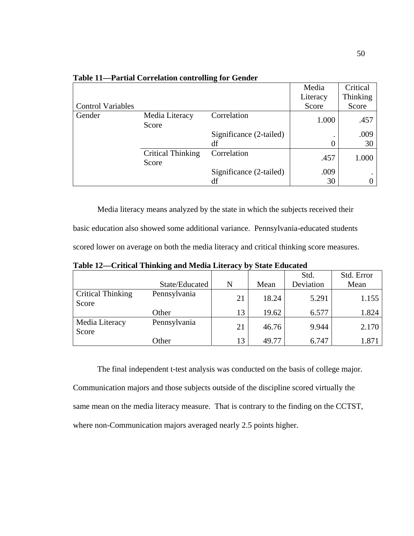|                          |                                   | o                       | Media    | Critical |
|--------------------------|-----------------------------------|-------------------------|----------|----------|
|                          |                                   |                         | Literacy | Thinking |
| <b>Control Variables</b> |                                   |                         | Score    | Score    |
| Gender                   | Media Literacy<br>Score           | Correlation             | 1.000    | .457     |
|                          |                                   | Significance (2-tailed) |          | .009     |
|                          |                                   | df                      | 0        | 30       |
|                          | <b>Critical Thinking</b><br>Score | Correlation             | .457     | 1.000    |
|                          |                                   | Significance (2-tailed) | .009     |          |
|                          |                                   | df                      | 30       | 0        |

**Table 11—Partial Correlation controlling for Gender** 

Media literacy means analyzed by the state in which the subjects received their basic education also showed some additional variance. Pennsylvania-educated students scored lower on average on both the media literacy and critical thinking score measures.

**Table 12—Critical Thinking and Media Literacy by State Educated** 

|                                   |                |    |       | Std.      | Std. Error |
|-----------------------------------|----------------|----|-------|-----------|------------|
|                                   | State/Educated | N  | Mean  | Deviation | Mean       |
| <b>Critical Thinking</b><br>Score | Pennsylvania   | 21 | 18.24 | 5.291     | 1.155      |
|                                   | Other          | 13 | 19.62 | 6.577     | 1.824      |
| Media Literacy<br>Score           | Pennsylvania   | 21 | 46.76 | 9.944     | 2.170      |
|                                   | Other          | 13 | 49.77 | 6.747     | 1.871      |

The final independent t-test analysis was conducted on the basis of college major.

Communication majors and those subjects outside of the discipline scored virtually the same mean on the media literacy measure. That is contrary to the finding on the CCTST, where non-Communication majors averaged nearly 2.5 points higher.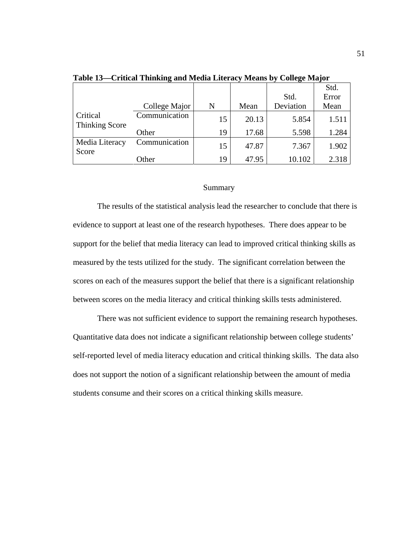|                                   |               |    |       |           | Std.  |
|-----------------------------------|---------------|----|-------|-----------|-------|
|                                   |               |    |       | Std.      | Error |
|                                   | College Major | N  | Mean  | Deviation | Mean  |
| Critical<br><b>Thinking Score</b> | Communication | 15 | 20.13 | 5.854     | 1.511 |
|                                   | Other         | 19 | 17.68 | 5.598     | 1.284 |
| Media Literacy<br>Score           | Communication | 15 | 47.87 | 7.367     | 1.902 |
|                                   | Other         | 19 | 47.95 | 10.102    | 2.318 |

**Table 13—Critical Thinking and Media Literacy Means by College Major** 

### Summary

 The results of the statistical analysis lead the researcher to conclude that there is evidence to support at least one of the research hypotheses. There does appear to be support for the belief that media literacy can lead to improved critical thinking skills as measured by the tests utilized for the study. The significant correlation between the scores on each of the measures support the belief that there is a significant relationship between scores on the media literacy and critical thinking skills tests administered.

 There was not sufficient evidence to support the remaining research hypotheses. Quantitative data does not indicate a significant relationship between college students' self-reported level of media literacy education and critical thinking skills. The data also does not support the notion of a significant relationship between the amount of media students consume and their scores on a critical thinking skills measure.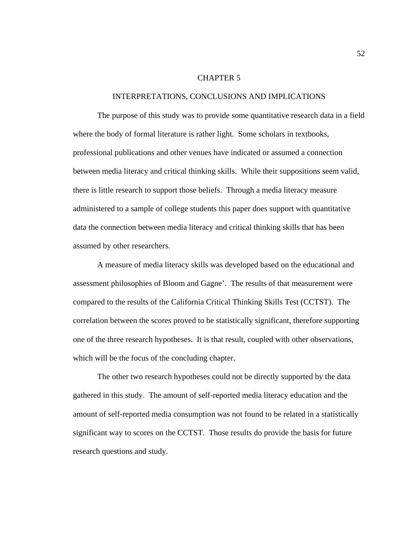## CHAPTER 5

### INTERPRETATIONS, CONCLUSIONS AND IMPLICATIONS

 The purpose of this study was to provide some quantitative research data in a field where the body of formal literature is rather light. Some scholars in textbooks, professional publications and other venues have indicated or assumed a connection between media literacy and critical thinking skills. While their suppositions seem valid, there is little research to support those beliefs. Through a media literacy measure administered to a sample of college students this paper does support with quantitative data the connection between media literacy and critical thinking skills that has been assumed by other researchers.

 A measure of media literacy skills was developed based on the educational and assessment philosophies of Bloom and Gagne'. The results of that measurement were compared to the results of the California Critical Thinking Skills Test (CCTST). The correlation between the scores proved to be statistically significant, therefore supporting one of the three research hypotheses. It is that result, coupled with other observations, which will be the focus of the concluding chapter.

 The other two research hypotheses could not be directly supported by the data gathered in this study. The amount of self-reported media literacy education and the amount of self-reported media consumption was not found to be related in a statistically significant way to scores on the CCTST. Those results do provide the basis for future research questions and study.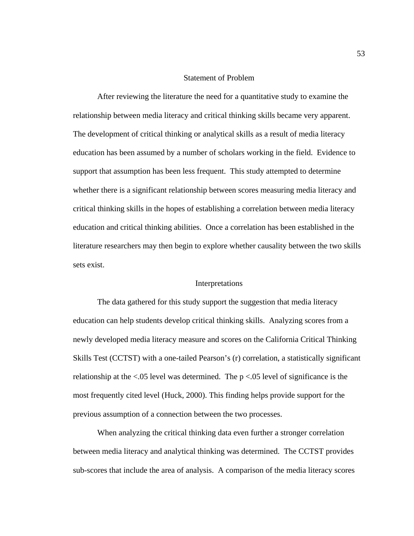## Statement of Problem

 After reviewing the literature the need for a quantitative study to examine the relationship between media literacy and critical thinking skills became very apparent. The development of critical thinking or analytical skills as a result of media literacy education has been assumed by a number of scholars working in the field. Evidence to support that assumption has been less frequent. This study attempted to determine whether there is a significant relationship between scores measuring media literacy and critical thinking skills in the hopes of establishing a correlation between media literacy education and critical thinking abilities. Once a correlation has been established in the literature researchers may then begin to explore whether causality between the two skills sets exist.

### Interpretations

 The data gathered for this study support the suggestion that media literacy education can help students develop critical thinking skills. Analyzing scores from a newly developed media literacy measure and scores on the California Critical Thinking Skills Test (CCTST) with a one-tailed Pearson's (r) correlation, a statistically significant relationship at the <.05 level was determined. The p <.05 level of significance is the most frequently cited level (Huck, 2000). This finding helps provide support for the previous assumption of a connection between the two processes.

 When analyzing the critical thinking data even further a stronger correlation between media literacy and analytical thinking was determined. The CCTST provides sub-scores that include the area of analysis. A comparison of the media literacy scores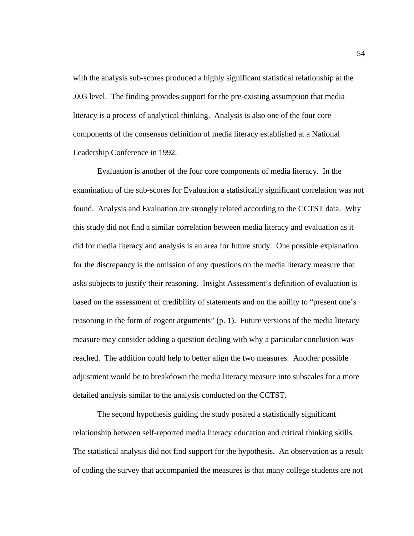with the analysis sub-scores produced a highly significant statistical relationship at the .003 level. The finding provides support for the pre-existing assumption that media literacy is a process of analytical thinking. Analysis is also one of the four core components of the consensus definition of media literacy established at a National Leadership Conference in 1992.

 Evaluation is another of the four core components of media literacy. In the examination of the sub-scores for Evaluation a statistically significant correlation was not found. Analysis and Evaluation are strongly related according to the CCTST data. Why this study did not find a similar correlation between media literacy and evaluation as it did for media literacy and analysis is an area for future study. One possible explanation for the discrepancy is the omission of any questions on the media literacy measure that asks subjects to justify their reasoning. Insight Assessment's definition of evaluation is based on the assessment of credibility of statements and on the ability to "present one's reasoning in the form of cogent arguments" (p. 1). Future versions of the media literacy measure may consider adding a question dealing with why a particular conclusion was reached. The addition could help to better align the two measures. Another possible adjustment would be to breakdown the media literacy measure into subscales for a more detailed analysis similar to the analysis conducted on the CCTST.

 The second hypothesis guiding the study posited a statistically significant relationship between self-reported media literacy education and critical thinking skills. The statistical analysis did not find support for the hypothesis. An observation as a result of coding the survey that accompanied the measures is that many college students are not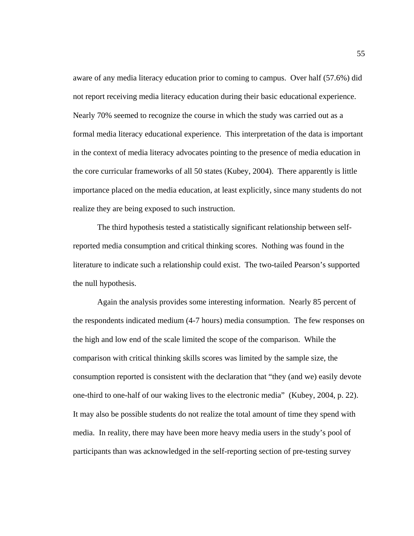aware of any media literacy education prior to coming to campus. Over half (57.6%) did not report receiving media literacy education during their basic educational experience. Nearly 70% seemed to recognize the course in which the study was carried out as a formal media literacy educational experience. This interpretation of the data is important in the context of media literacy advocates pointing to the presence of media education in the core curricular frameworks of all 50 states (Kubey, 2004). There apparently is little importance placed on the media education, at least explicitly, since many students do not realize they are being exposed to such instruction.

 The third hypothesis tested a statistically significant relationship between selfreported media consumption and critical thinking scores. Nothing was found in the literature to indicate such a relationship could exist. The two-tailed Pearson's supported the null hypothesis.

Again the analysis provides some interesting information. Nearly 85 percent of the respondents indicated medium (4-7 hours) media consumption. The few responses on the high and low end of the scale limited the scope of the comparison. While the comparison with critical thinking skills scores was limited by the sample size, the consumption reported is consistent with the declaration that "they (and we) easily devote one-third to one-half of our waking lives to the electronic media" (Kubey, 2004, p. 22). It may also be possible students do not realize the total amount of time they spend with media. In reality, there may have been more heavy media users in the study's pool of participants than was acknowledged in the self-reporting section of pre-testing survey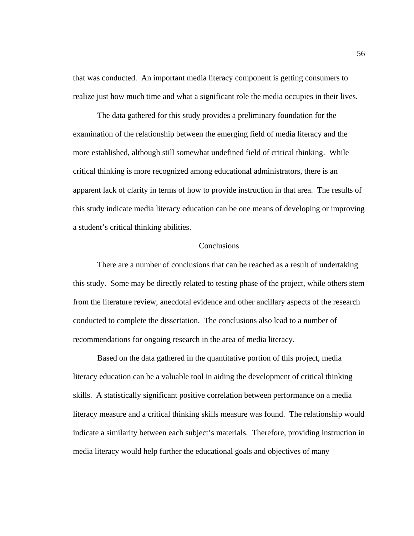that was conducted. An important media literacy component is getting consumers to realize just how much time and what a significant role the media occupies in their lives.

 The data gathered for this study provides a preliminary foundation for the examination of the relationship between the emerging field of media literacy and the more established, although still somewhat undefined field of critical thinking. While critical thinking is more recognized among educational administrators, there is an apparent lack of clarity in terms of how to provide instruction in that area. The results of this study indicate media literacy education can be one means of developing or improving a student's critical thinking abilities.

# Conclusions

 There are a number of conclusions that can be reached as a result of undertaking this study. Some may be directly related to testing phase of the project, while others stem from the literature review, anecdotal evidence and other ancillary aspects of the research conducted to complete the dissertation. The conclusions also lead to a number of recommendations for ongoing research in the area of media literacy.

Based on the data gathered in the quantitative portion of this project, media literacy education can be a valuable tool in aiding the development of critical thinking skills. A statistically significant positive correlation between performance on a media literacy measure and a critical thinking skills measure was found. The relationship would indicate a similarity between each subject's materials. Therefore, providing instruction in media literacy would help further the educational goals and objectives of many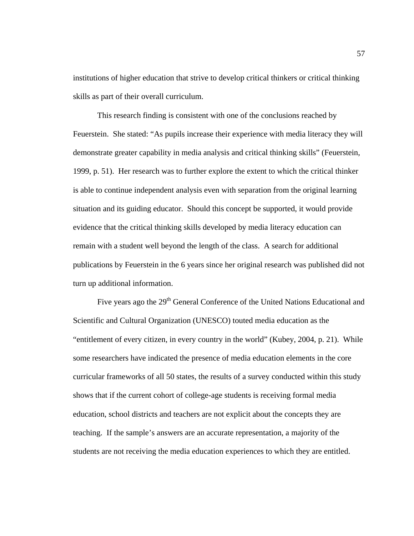institutions of higher education that strive to develop critical thinkers or critical thinking skills as part of their overall curriculum.

 This research finding is consistent with one of the conclusions reached by Feuerstein. She stated: "As pupils increase their experience with media literacy they will demonstrate greater capability in media analysis and critical thinking skills" (Feuerstein, 1999, p. 51). Her research was to further explore the extent to which the critical thinker is able to continue independent analysis even with separation from the original learning situation and its guiding educator. Should this concept be supported, it would provide evidence that the critical thinking skills developed by media literacy education can remain with a student well beyond the length of the class. A search for additional publications by Feuerstein in the 6 years since her original research was published did not turn up additional information.

Five years ago the 29<sup>th</sup> General Conference of the United Nations Educational and Scientific and Cultural Organization (UNESCO) touted media education as the "entitlement of every citizen, in every country in the world" (Kubey, 2004, p. 21). While some researchers have indicated the presence of media education elements in the core curricular frameworks of all 50 states, the results of a survey conducted within this study shows that if the current cohort of college-age students is receiving formal media education, school districts and teachers are not explicit about the concepts they are teaching. If the sample's answers are an accurate representation, a majority of the students are not receiving the media education experiences to which they are entitled.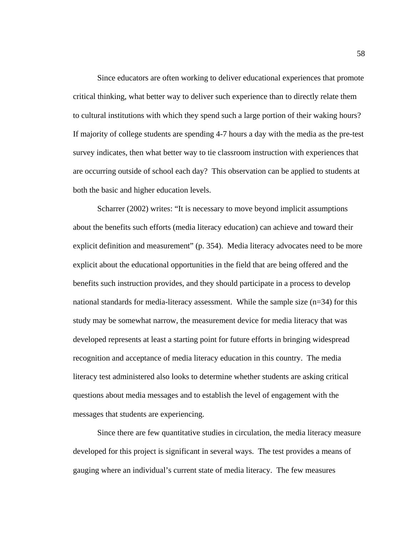Since educators are often working to deliver educational experiences that promote critical thinking, what better way to deliver such experience than to directly relate them to cultural institutions with which they spend such a large portion of their waking hours? If majority of college students are spending 4-7 hours a day with the media as the pre-test survey indicates, then what better way to tie classroom instruction with experiences that are occurring outside of school each day? This observation can be applied to students at both the basic and higher education levels.

 Scharrer (2002) writes: "It is necessary to move beyond implicit assumptions about the benefits such efforts (media literacy education) can achieve and toward their explicit definition and measurement" (p. 354). Media literacy advocates need to be more explicit about the educational opportunities in the field that are being offered and the benefits such instruction provides, and they should participate in a process to develop national standards for media-literacy assessment. While the sample size  $(n=34)$  for this study may be somewhat narrow, the measurement device for media literacy that was developed represents at least a starting point for future efforts in bringing widespread recognition and acceptance of media literacy education in this country. The media literacy test administered also looks to determine whether students are asking critical questions about media messages and to establish the level of engagement with the messages that students are experiencing.

 Since there are few quantitative studies in circulation, the media literacy measure developed for this project is significant in several ways. The test provides a means of gauging where an individual's current state of media literacy. The few measures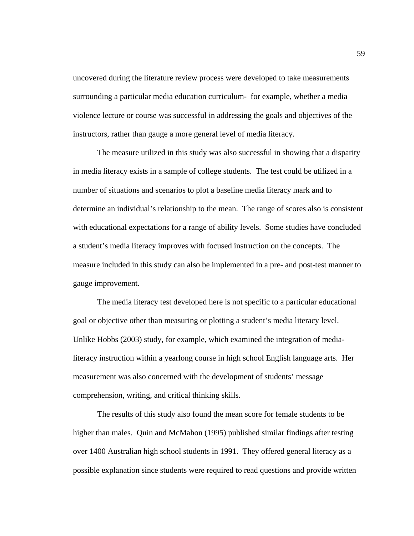uncovered during the literature review process were developed to take measurements surrounding a particular media education curriculum- for example, whether a media violence lecture or course was successful in addressing the goals and objectives of the instructors, rather than gauge a more general level of media literacy.

The measure utilized in this study was also successful in showing that a disparity in media literacy exists in a sample of college students. The test could be utilized in a number of situations and scenarios to plot a baseline media literacy mark and to determine an individual's relationship to the mean. The range of scores also is consistent with educational expectations for a range of ability levels. Some studies have concluded a student's media literacy improves with focused instruction on the concepts. The measure included in this study can also be implemented in a pre- and post-test manner to gauge improvement.

The media literacy test developed here is not specific to a particular educational goal or objective other than measuring or plotting a student's media literacy level. Unlike Hobbs (2003) study, for example, which examined the integration of medialiteracy instruction within a yearlong course in high school English language arts. Her measurement was also concerned with the development of students' message comprehension, writing, and critical thinking skills.

 The results of this study also found the mean score for female students to be higher than males. Quin and McMahon (1995) published similar findings after testing over 1400 Australian high school students in 1991. They offered general literacy as a possible explanation since students were required to read questions and provide written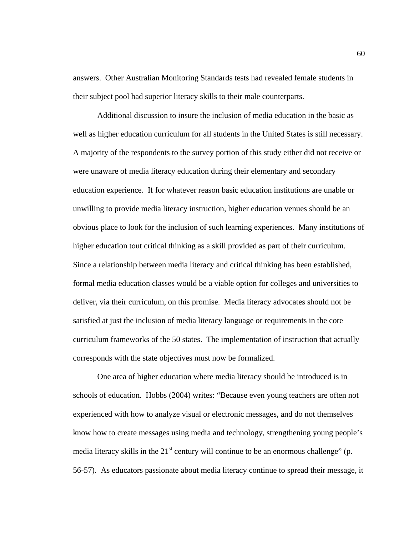answers. Other Australian Monitoring Standards tests had revealed female students in their subject pool had superior literacy skills to their male counterparts.

 Additional discussion to insure the inclusion of media education in the basic as well as higher education curriculum for all students in the United States is still necessary. A majority of the respondents to the survey portion of this study either did not receive or were unaware of media literacy education during their elementary and secondary education experience. If for whatever reason basic education institutions are unable or unwilling to provide media literacy instruction, higher education venues should be an obvious place to look for the inclusion of such learning experiences. Many institutions of higher education tout critical thinking as a skill provided as part of their curriculum. Since a relationship between media literacy and critical thinking has been established, formal media education classes would be a viable option for colleges and universities to deliver, via their curriculum, on this promise. Media literacy advocates should not be satisfied at just the inclusion of media literacy language or requirements in the core curriculum frameworks of the 50 states. The implementation of instruction that actually corresponds with the state objectives must now be formalized.

 One area of higher education where media literacy should be introduced is in schools of education. Hobbs (2004) writes: "Because even young teachers are often not experienced with how to analyze visual or electronic messages, and do not themselves know how to create messages using media and technology, strengthening young people's media literacy skills in the  $21<sup>st</sup>$  century will continue to be an enormous challenge" (p. 56-57). As educators passionate about media literacy continue to spread their message, it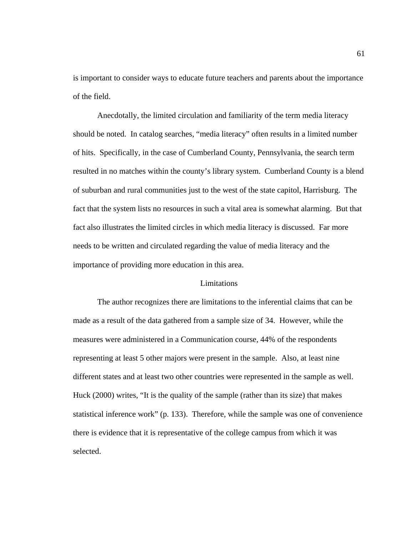is important to consider ways to educate future teachers and parents about the importance of the field.

 Anecdotally, the limited circulation and familiarity of the term media literacy should be noted. In catalog searches, "media literacy" often results in a limited number of hits. Specifically, in the case of Cumberland County, Pennsylvania, the search term resulted in no matches within the county's library system. Cumberland County is a blend of suburban and rural communities just to the west of the state capitol, Harrisburg. The fact that the system lists no resources in such a vital area is somewhat alarming. But that fact also illustrates the limited circles in which media literacy is discussed. Far more needs to be written and circulated regarding the value of media literacy and the importance of providing more education in this area.

### Limitations

 The author recognizes there are limitations to the inferential claims that can be made as a result of the data gathered from a sample size of 34. However, while the measures were administered in a Communication course, 44% of the respondents representing at least 5 other majors were present in the sample. Also, at least nine different states and at least two other countries were represented in the sample as well. Huck (2000) writes, "It is the quality of the sample (rather than its size) that makes statistical inference work" (p. 133). Therefore, while the sample was one of convenience there is evidence that it is representative of the college campus from which it was selected.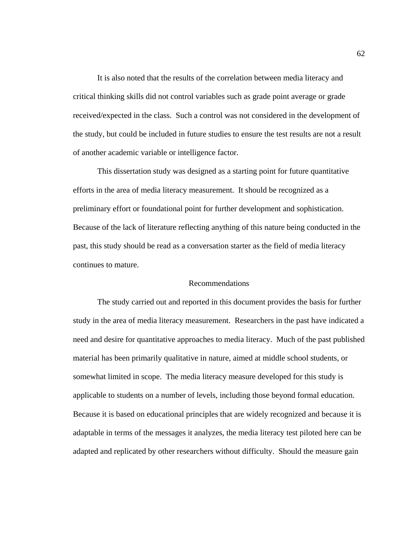It is also noted that the results of the correlation between media literacy and critical thinking skills did not control variables such as grade point average or grade received/expected in the class. Such a control was not considered in the development of the study, but could be included in future studies to ensure the test results are not a result of another academic variable or intelligence factor.

 This dissertation study was designed as a starting point for future quantitative efforts in the area of media literacy measurement. It should be recognized as a preliminary effort or foundational point for further development and sophistication. Because of the lack of literature reflecting anything of this nature being conducted in the past, this study should be read as a conversation starter as the field of media literacy continues to mature.

# Recommendations

 The study carried out and reported in this document provides the basis for further study in the area of media literacy measurement. Researchers in the past have indicated a need and desire for quantitative approaches to media literacy. Much of the past published material has been primarily qualitative in nature, aimed at middle school students, or somewhat limited in scope. The media literacy measure developed for this study is applicable to students on a number of levels, including those beyond formal education. Because it is based on educational principles that are widely recognized and because it is adaptable in terms of the messages it analyzes, the media literacy test piloted here can be adapted and replicated by other researchers without difficulty. Should the measure gain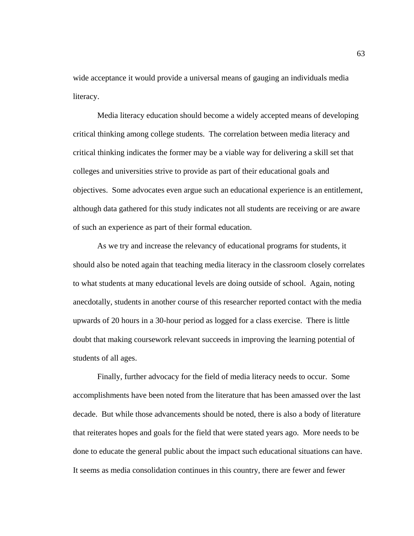wide acceptance it would provide a universal means of gauging an individuals media literacy.

 Media literacy education should become a widely accepted means of developing critical thinking among college students. The correlation between media literacy and critical thinking indicates the former may be a viable way for delivering a skill set that colleges and universities strive to provide as part of their educational goals and objectives. Some advocates even argue such an educational experience is an entitlement, although data gathered for this study indicates not all students are receiving or are aware of such an experience as part of their formal education.

 As we try and increase the relevancy of educational programs for students, it should also be noted again that teaching media literacy in the classroom closely correlates to what students at many educational levels are doing outside of school. Again, noting anecdotally, students in another course of this researcher reported contact with the media upwards of 20 hours in a 30-hour period as logged for a class exercise. There is little doubt that making coursework relevant succeeds in improving the learning potential of students of all ages.

Finally, further advocacy for the field of media literacy needs to occur. Some accomplishments have been noted from the literature that has been amassed over the last decade. But while those advancements should be noted, there is also a body of literature that reiterates hopes and goals for the field that were stated years ago. More needs to be done to educate the general public about the impact such educational situations can have. It seems as media consolidation continues in this country, there are fewer and fewer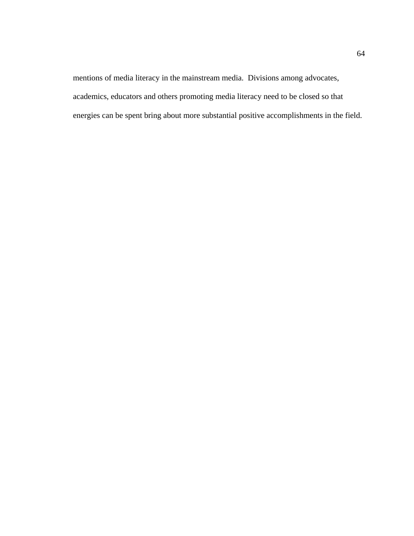mentions of media literacy in the mainstream media. Divisions among advocates, academics, educators and others promoting media literacy need to be closed so that energies can be spent bring about more substantial positive accomplishments in the field.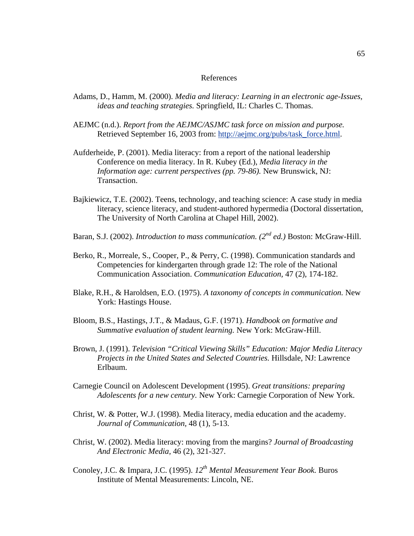#### References

- Adams, D., Hamm, M. (2000). *Media and literacy: Learning in an electronic age-Issues, ideas and teaching strategies.* Springfield, IL: Charles C. Thomas.
- AEJMC (n.d.). *Report from the AEJMC/ASJMC task force on mission and purpose.*  Retrieved September 16, 2003 from: [http://aejmc.org/pubs/task\\_force.html](http://aejmc.org/pubs/task_force.html).
- Aufderheide, P. (2001). Media literacy: from a report of the national leadership Conference on media literacy. In R. Kubey (Ed.), *Media literacy in the Information age: current perspectives (pp. 79-86).* New Brunswick, NJ: Transaction.
- Bajkiewicz, T.E. (2002). Teens, technology, and teaching science: A case study in media literacy, science literacy, and student-authored hypermedia (Doctoral dissertation, The University of North Carolina at Chapel Hill, 2002).
- Baran, S.J. (2002). *Introduction to mass communication. (2nd ed.)* Boston: McGraw-Hill.
- Berko, R., Morreale, S., Cooper, P., & Perry, C. (1998). Communication standards and Competencies for kindergarten through grade 12: The role of the National Communication Association. *Communication Education,* 47 (2), 174-182.
- Blake, R.H., & Haroldsen, E.O. (1975). *A taxonomy of concepts in communication.* New York: Hastings House.
- Bloom, B.S., Hastings, J.T., & Madaus, G.F. (1971). *Handbook on formative and Summative evaluation of student learning.* New York: McGraw-Hill.
- Brown, J. (1991). *Television "Critical Viewing Skills" Education: Major Media Literacy Projects in the United States and Selected Countries.* Hillsdale, NJ: Lawrence Erlbaum.
- Carnegie Council on Adolescent Development (1995). *Great transitions: preparing Adolescents for a new century.* New York: Carnegie Corporation of New York.
- Christ, W. & Potter, W.J. (1998). Media literacy, media education and the academy. *Journal of Communication,* 48 (1), 5-13.
- Christ, W. (2002). Media literacy: moving from the margins? *Journal of Broadcasting And Electronic Media,* 46 (2), 321-327.
- Conoley, J.C. & Impara, J.C. (1995). *12th Mental Measurement Year Book.* Buros Institute of Mental Measurements: Lincoln, NE.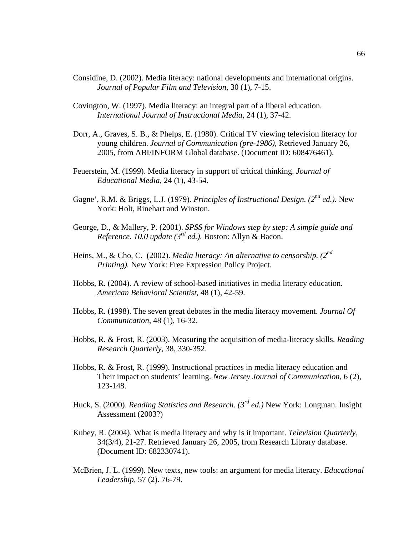- Considine, D. (2002). Media literacy: national developments and international origins. *Journal of Popular Film and Television,* 30 (1), 7-15.
- Covington, W. (1997). Media literacy: an integral part of a liberal education. *International Journal of Instructional Media,* 24 (1), 37-42.
- Dorr, A., Graves, S. B., & Phelps, E. (1980). Critical TV viewing television literacy for young children. *Journal of Communication (pre-1986),* Retrieved January 26, 2005, from ABI/INFORM Global database. (Document ID: 608476461).
- Feuerstein, M. (1999). Media literacy in support of critical thinking. *Journal of Educational Media,* 24 (1), 43-54.
- Gagne', R.M. & Briggs, L.J. (1979). *Principles of Instructional Design. (2nd ed.).* New York: Holt, Rinehart and Winston.
- George, D., & Mallery, P. (2001). *SPSS for Windows step by step: A simple guide and Reference. 10.0 update (3rd ed.).* Boston: Allyn & Bacon.
- Heins, M., & Cho, C. (2002). *Media literacy: An alternative to censorship. (2nd Printing).* New York: Free Expression Policy Project.
- Hobbs, R. (2004). A review of school-based initiatives in media literacy education. *American Behavioral Scientist,* 48 (1), 42-59.
- Hobbs, R. (1998). The seven great debates in the media literacy movement. *Journal Of Communication,* 48 (1), 16-32.
- Hobbs, R. & Frost, R. (2003). Measuring the acquisition of media-literacy skills. *Reading Research Quarterly,* 38, 330-352.
- Hobbs, R. & Frost, R. (1999). Instructional practices in media literacy education and Their impact on students' learning. *New Jersey Journal of Communication,* 6 (2), 123-148.
- Huck, S. (2000). *Reading Statistics and Research. (3rd ed.)* New York: Longman. Insight Assessment (2003?)
- Kubey, R. (2004). What is media literacy and why is it important. *Television Quarterly,*  34(3/4), 21-27. Retrieved January 26, 2005, from Research Library database. (Document ID: 682330741).
- McBrien, J. L. (1999). New texts, new tools: an argument for media literacy. *Educational Leadership,* 57 (2). 76-79.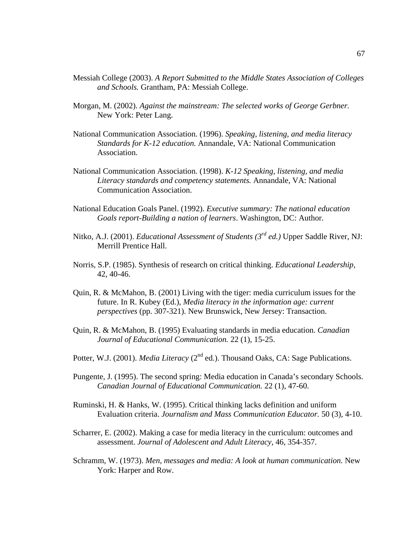- Messiah College (2003). *A Report Submitted to the Middle States Association of Colleges and Schools.* Grantham, PA: Messiah College.
- Morgan, M. (2002). *Against the mainstream: The selected works of George Gerbner.*  New York: Peter Lang.
- National Communication Association. (1996). *Speaking, listening, and media literacy Standards for K-12 education.* Annandale, VA: National Communication Association.
- National Communication Association. (1998). *K-12 Speaking, listening, and media Literacy standards and competency statements.* Annandale, VA: National Communication Association.
- National Education Goals Panel. (1992). *Executive summary: The national education Goals report-Building a nation of learners*. Washington, DC: Author.
- Nitko, A.J. (2001). *Educational Assessment of Students (3rd ed.)* Upper Saddle River, NJ: Merrill Prentice Hall.
- Norris, S.P. (1985). Synthesis of research on critical thinking. *Educational Leadership,*  42, 40-46.
- Quin, R. & McMahon, B. (2001) Living with the tiger: media curriculum issues for the future. In R. Kubey (Ed.), *Media literacy in the information age: current perspectives* (pp. 307-321). New Brunswick, New Jersey: Transaction.
- Quin, R. & McMahon, B. (1995) Evaluating standards in media education. *Canadian Journal of Educational Communication.* 22 (1), 15-25.
- Potter, W.J. (2001). *Media Literacy* (2<sup>nd</sup> ed.). Thousand Oaks, CA: Sage Publications.
- Pungente, J. (1995). The second spring: Media education in Canada's secondary Schools. *Canadian Journal of Educational Communication.* 22 (1), 47-60.
- Ruminski, H. & Hanks, W. (1995). Critical thinking lacks definition and uniform Evaluation criteria. *Journalism and Mass Communication Educator.* 50 (3), 4-10.
- Scharrer, E. (2002). Making a case for media literacy in the curriculum: outcomes and assessment. *Journal of Adolescent and Adult Literacy,* 46, 354-357.
- Schramm, W. (1973). *Men, messages and media: A look at human communication.* New York: Harper and Row.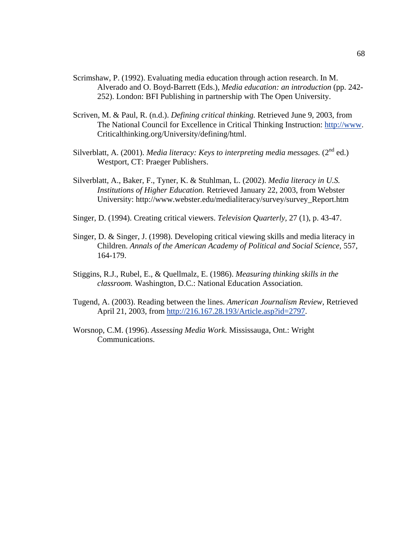- Scrimshaw, P. (1992). Evaluating media education through action research. In M. Alverado and O. Boyd-Barrett (Eds.), *Media education: an introduction* (pp. 242- 252). London: BFI Publishing in partnership with The Open University.
- Scriven, M. & Paul, R. (n.d.). *Defining critical thinking.* Retrieved June 9, 2003, from The National Council for Excellence in Critical Thinking Instruction: [http://www.](http://www/) Criticalthinking.org/University/defining/html.
- Silverblatt, A. (2001). *Media literacy: Keys to interpreting media messages.*  $(2^{nd}$  ed.) Westport, CT: Praeger Publishers.
- Silverblatt, A., Baker, F., Tyner, K. & Stuhlman, L. (2002). *Media literacy in U.S. Institutions of Higher Education.* Retrieved January 22, 2003, from Webster University: http://www.webster.edu/medialiteracy/survey/survey\_Report.htm
- Singer, D. (1994). Creating critical viewers. *Television Quarterly,* 27 (1), p. 43-47.
- Singer, D. & Singer, J. (1998). Developing critical viewing skills and media literacy in Children. *Annals of the American Academy of Political and Social Science,* 557, 164-179.
- Stiggins, R.J., Rubel, E., & Quellmalz, E. (1986). *Measuring thinking skills in the classroom.* Washington, D.C.: National Education Association.
- Tugend, A. (2003). Reading between the lines. *American Journalism Review,* Retrieved April 21, 2003, from <http://216.167.28.193/Article.asp?id=2797>.
- Worsnop, C.M. (1996). *Assessing Media Work.* Mississauga, Ont.: Wright Communications.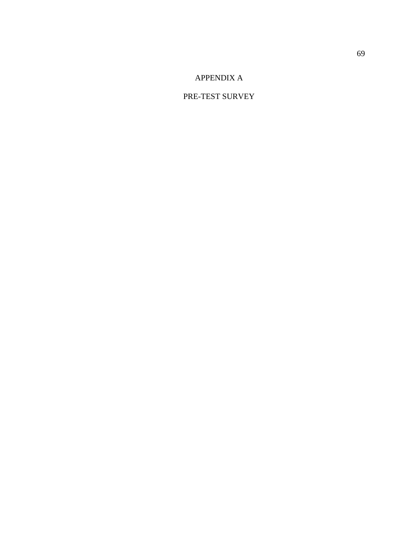# APPENDIX A

### PRE-TEST SURVEY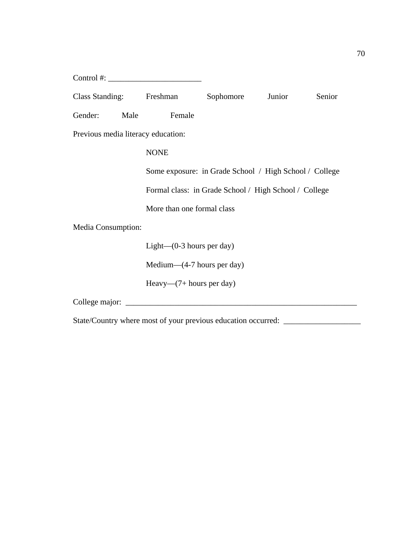| Control #: $\sqrt{2\pi}$           |                                                        |                  |  |        |
|------------------------------------|--------------------------------------------------------|------------------|--|--------|
| Class Standing: Freshman           |                                                        | Sophomore Junior |  | Senior |
| Gender:                            | Female<br>Male                                         |                  |  |        |
| Previous media literacy education: |                                                        |                  |  |        |
|                                    | <b>NONE</b>                                            |                  |  |        |
|                                    | Some exposure: in Grade School / High School / College |                  |  |        |
|                                    | Formal class: in Grade School / High School / College  |                  |  |        |
|                                    | More than one formal class                             |                  |  |        |
| Media Consumption:                 |                                                        |                  |  |        |
|                                    | Light $-(0-3$ hours per day)                           |                  |  |        |
|                                    | Medium— $(4-7$ hours per day)                          |                  |  |        |
|                                    | Heavy— $(7+$ hours per day)                            |                  |  |        |
| College major:                     |                                                        |                  |  |        |

State/Country where most of your previous education occurred: \_\_\_\_\_\_\_\_\_\_\_\_\_\_\_\_\_\_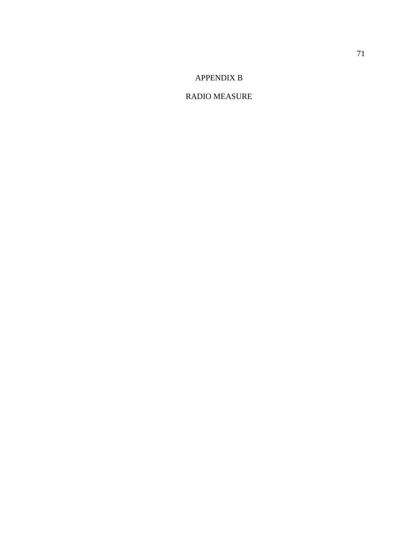### APPENDIX B

### RADIO MEASURE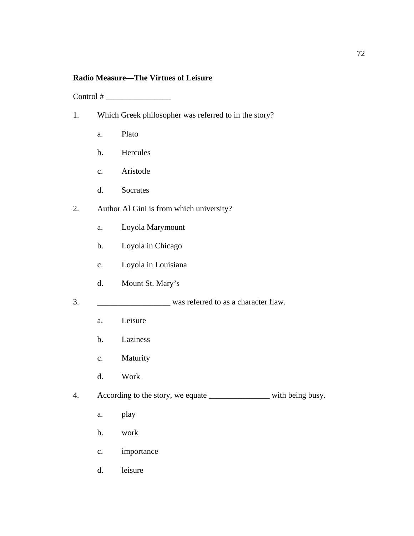### **Radio Measure—The Virtues of Leisure**

Control # \_\_\_\_\_\_\_\_\_\_\_\_\_\_\_\_

- 1. Which Greek philosopher was referred to in the story?
	- a. Plato
	- b. Hercules
	- c. Aristotle
	- d. Socrates
- 2. Author Al Gini is from which university?
	- a. Loyola Marymount
	- b. Loyola in Chicago
	- c. Loyola in Louisiana
	- d. Mount St. Mary's
- 3. \_\_\_\_\_\_\_\_\_\_\_\_\_\_\_\_\_\_ was referred to as a character flaw.
	- a. Leisure
	- b. Laziness
	- c. Maturity
	- d. Work
- 4. According to the story, we equate \_\_\_\_\_\_\_\_\_\_\_\_\_\_\_\_\_\_\_\_ with being busy.
	- a. play
	- b. work
	- c. importance
	- d. leisure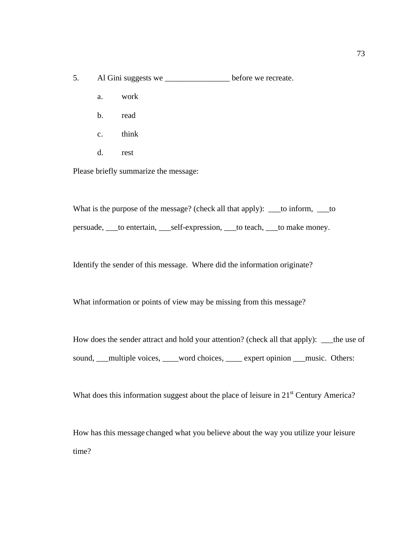- 5. Al Gini suggests we \_\_\_\_\_\_\_\_\_\_\_\_\_\_\_\_ before we recreate.
	- a. work
	- b. read
	- c. think
	- d. rest

Please briefly summarize the message:

What is the purpose of the message? (check all that apply): \_\_\_to inform, \_\_to persuade, \_\_\_to entertain, \_\_\_self-expression, \_\_\_to teach, \_\_\_to make money.

Identify the sender of this message. Where did the information originate?

What information or points of view may be missing from this message?

How does the sender attract and hold your attention? (check all that apply): \_\_\_the use of sound, \_\_\_multiple voices, \_\_\_\_word choices, \_\_\_\_ expert opinion \_\_\_music. Others:

What does this information suggest about the place of leisure in  $21<sup>st</sup>$  Century America?

How has this message changed what you believe about the way you utilize your leisure time?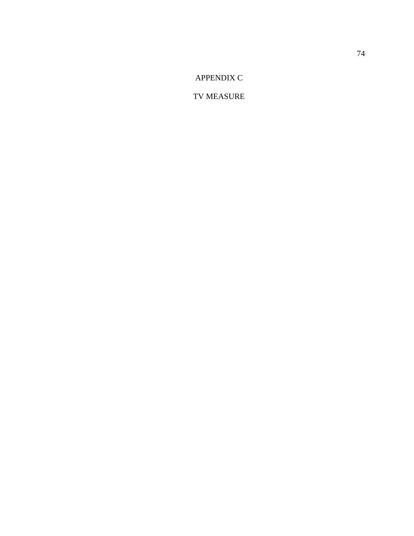APPENDIX C

TV MEASURE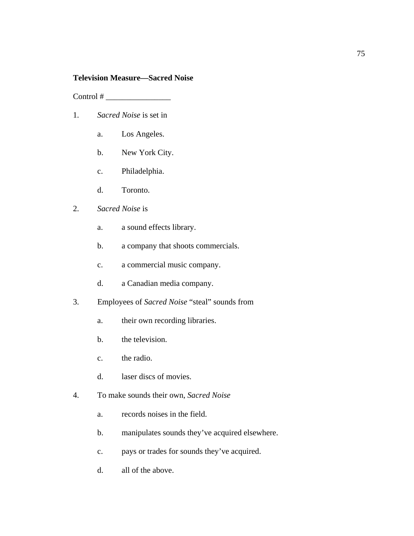### **Television Measure—Sacred Noise**

Control # \_\_\_\_\_\_\_\_\_\_\_\_\_\_\_\_

- 1. *Sacred Noise* is set in
	- a. Los Angeles.
	- b. New York City.
	- c. Philadelphia.
	- d. Toronto.

### 2. *Sacred Noise* is

- a. a sound effects library.
- b. a company that shoots commercials.
- c. a commercial music company.
- d. a Canadian media company.
- 3. Employees of *Sacred Noise* "steal" sounds from
	- a. their own recording libraries.
	- b. the television.
	- c. the radio.
	- d. laser discs of movies.
- 4. To make sounds their own, *Sacred Noise*
	- a. records noises in the field.
	- b. manipulates sounds they've acquired elsewhere.
	- c. pays or trades for sounds they've acquired.
	- d. all of the above.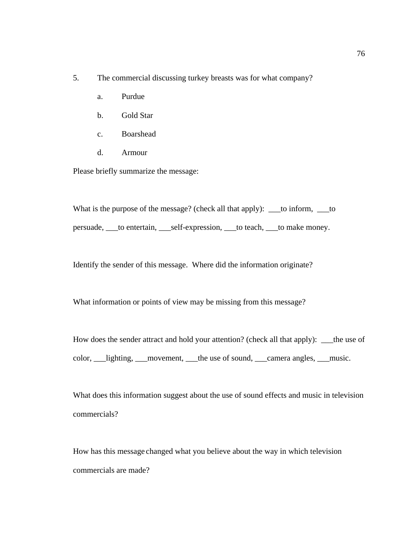- 5. The commercial discussing turkey breasts was for what company?
	- a. Purdue
	- b. Gold Star
	- c. Boarshead
	- d. Armour

Please briefly summarize the message:

What is the purpose of the message? (check all that apply): \_\_\_to inform, \_\_to persuade, \_\_\_to entertain, \_\_\_self-expression, \_\_\_to teach, \_\_\_to make money.

Identify the sender of this message. Where did the information originate?

What information or points of view may be missing from this message?

How does the sender attract and hold your attention? (check all that apply): \_\_\_the use of color, \_\_\_lighting, \_\_\_movement, \_\_\_the use of sound, \_\_\_camera angles, \_\_\_music.

What does this information suggest about the use of sound effects and music in television commercials?

How has this message changed what you believe about the way in which television commercials are made?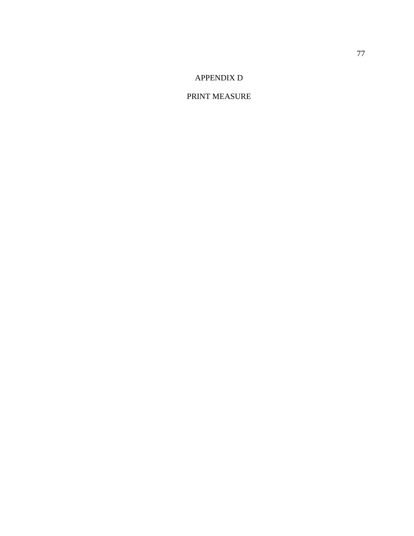# APPENDIX D

### PRINT MEASURE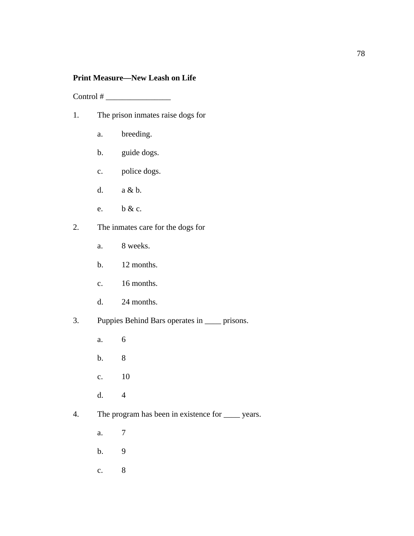### **Print Measure—New Leash on Life**

 $Control \# \_$ 

- 1. The prison inmates raise dogs for
	- a. breeding.
	- b. guide dogs.
	- c. police dogs.
	- d. a & b.
	- e. b & c.
- 2. The inmates care for the dogs for
	- a. 8 weeks.
	- b. 12 months.
	- c. 16 months.
	- d. 24 months.
- 3. Puppies Behind Bars operates in \_\_\_\_ prisons.
	- a. 6
	- b. 8
	- c. 10
	- d. 4
- 4. The program has been in existence for \_\_\_\_ years.
	- a. 7
	- b. 9
	- c. 8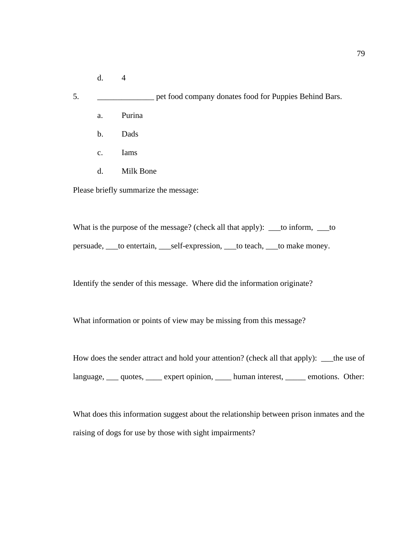- d. 4
- 5. \_\_\_\_\_\_\_\_\_\_\_\_\_\_ pet food company donates food for Puppies Behind Bars.
	- a. Purina
	- b. Dads
	- c. Iams
	- d. Milk Bone

Please briefly summarize the message:

What is the purpose of the message? (check all that apply): \_\_\_to inform, \_\_to persuade, \_\_\_to entertain, \_\_\_self-expression, \_\_\_to teach, \_\_\_to make money.

Identify the sender of this message. Where did the information originate?

What information or points of view may be missing from this message?

How does the sender attract and hold your attention? (check all that apply): \_\_\_the use of language, quotes, expert opinion, human interest, emotions. Other:

What does this information suggest about the relationship between prison inmates and the raising of dogs for use by those with sight impairments?